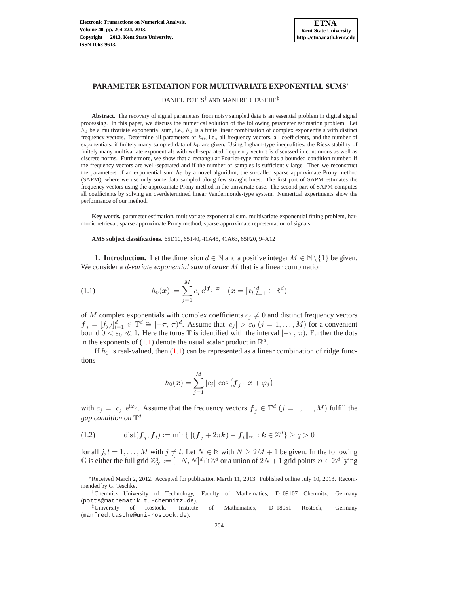DANIEL POTTS† AND MANFRED TASCHE‡

**Abstract.** The recovery of signal parameters from noisy sampled data is an essential problem in digital signal processing. In this paper, we discuss the numerical solution of the following parameter estimation problem. Let  $h_0$  be a multivariate exponential sum, i.e.,  $h_0$  is a finite linear combination of complex exponentials with distinct frequency vectors. Determine all parameters of  $h_0$ , i.e., all frequency vectors, all coefficients, and the number of exponentials, if finitely many sampled data of  $h_0$  are given. Using Ingham-type inequalities, the Riesz stability of finitely many multivariate exponentials with well-separated frequency vectors is discussed in continuous as well as discrete norms. Furthermore, we show that a rectangular Fourier-type matrix has a bounded condition number, if the frequency vectors are well-separated and if the number of samples is sufficiently large. Then we reconstruct the parameters of an exponential sum  $h_0$  by a novel algorithm, the so-called sparse approximate Prony method (SAPM), where we use only some data sampled along few straight lines. The first part of SAPM estimates the frequency vectors using the approximate Prony method in the univariate case. The second part of SAPM computes all coefficients by solving an overdetermined linear Vandermonde-type system. Numerical experiments show the performance of our method.

**Key words.** parameter estimation, multivariate exponential sum, multivariate exponential fitting problem, harmonic retrieval, sparse approximate Prony method, sparse approximate representation of signals

**AMS subject classifications.** 65D10, 65T40, 41A45, 41A63, 65F20, 94A12

**1. Introduction.** Let the dimension  $d \in \mathbb{N}$  and a positive integer  $M \in \mathbb{N} \setminus \{1\}$  be given. We consider a d-*variate exponential sum of order* M that is a linear combination

(1.1) 
$$
h_0(\boldsymbol{x}) := \sum_{j=1}^M c_j e^{i \boldsymbol{f}_j \cdot \boldsymbol{x}} \quad (\boldsymbol{x} = [x_l]_{l=1}^d \in \mathbb{R}^d)
$$

of M complex exponentials with complex coefficients  $c_i \neq 0$  and distinct frequency vectors  $f_j = [f_{j,l}]_{l=1}^d \in \mathbb{T}^d \cong [-\pi, \pi)^d$ . Assume that  $|c_j| > \varepsilon_0$   $(j = 1, ..., M)$  for a convenient bound  $0 < \varepsilon_0 \ll 1$ . Here the torus T is identified with the interval  $[-\pi, \pi)$ . Further the dots in the exponents of [\(1.1\)](#page-0-0) denote the usual scalar product in  $\mathbb{R}^d$ .

If  $h_0$  is real-valued, then [\(1.1\)](#page-0-0) can be represented as a linear combination of ridge functions

<span id="page-0-0"></span>
$$
h_0(\boldsymbol{x}) = \sum_{j=1}^M |c_j| \, \cos \big(\boldsymbol{f}_j \cdot \boldsymbol{x} + \varphi_j\big)
$$

<span id="page-0-1"></span>with  $c_j = |c_j| e^{i\varphi_j}$ . Assume that the frequency vectors  $\mathbf{f}_j \in \mathbb{T}^d$   $(j = 1, ..., M)$  fulfill the gap condition on  $\mathbb{T}^d$ 

(1.2) 
$$
\text{dist}(\bm{f}_j, \bm{f}_l) := \min \{ \|(\bm{f}_j + 2\pi \bm{k}) - \bm{f}_l\|_{\infty} : \bm{k} \in \mathbb{Z}^d \} \ge q > 0
$$

for all  $j, l = 1, ..., M$  with  $j \neq l$ . Let  $N \in \mathbb{N}$  with  $N \geq 2M + 1$  be given. In the following  $\mathbb G$  is either the full grid  $\mathbb Z_N^d:=[-N,N]^d\cap\mathbb Z^d$  or a union of  $2N+1$  grid points  $\bm n\in\mathbb Z^d$  lying

<sup>∗</sup>Received March 2, 2012. Accepted for publication March 11, 2013. Published online July 10, 2013. Recommended by G. Teschke.

<sup>†</sup>Chemnitz University of Technology, Faculty of Mathematics, D–09107 Chemnitz, Germany (potts@mathematik.tu-chemnitz.de).

<sup>‡</sup>University of Rostock, Institute of Mathematics, D–18051 Rostock, Germany (manfred.tasche@uni-rostock.de).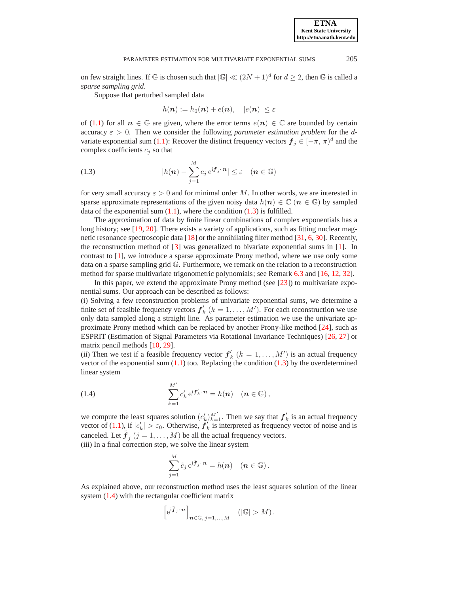on few straight lines. If G is chosen such that  $|\mathbb{G}| \ll (2N+1)^d$  for  $d \geq 2$ , then G is called a *sparse sampling grid*.

Suppose that perturbed sampled data

 $h(\mathbf{n}) := h_0(\mathbf{n}) + e(\mathbf{n}), \quad |e(\mathbf{n})| \leq \varepsilon$ 

of [\(1.1\)](#page-0-0) for all  $n \in \mathbb{G}$  are given, where the error terms  $e(n) \in \mathbb{C}$  are bounded by certain accuracy  $\varepsilon > 0$ . Then we consider the following *parameter estimation problem* for the d-variate exponential sum [\(1.1\)](#page-0-0): Recover the distinct frequency vectors  $f_j \in [-\pi, \pi]^d$  and the complex coefficients  $c_j$  so that

<span id="page-1-0"></span>(1.3) 
$$
|h(n) - \sum_{j=1}^{M} c_j e^{i \mathbf{f}_j \cdot \mathbf{n}}| \leq \varepsilon \quad (n \in \mathbb{G})
$$

for very small accuracy  $\varepsilon > 0$  and for minimal order M. In other words, we are interested in sparse approximate representations of the given noisy data  $h(n) \in \mathbb{C}$  ( $n \in \mathbb{G}$ ) by sampled data of the exponential sum  $(1.1)$ , where the condition  $(1.3)$  is fulfilled.

The approximation of data by finite linear combinations of complex exponentials has a long history; see [\[19,](#page-20-0) [20\]](#page-20-1). There exists a variety of applications, such as fitting nuclear magnetic resonance spectroscopic data [\[18\]](#page-20-2) or the annihilating filter method [\[31,](#page-20-3) [6,](#page-19-0) [30\]](#page-20-4). Recently, the reconstruction method of  $\lceil 3 \rceil$  was generalized to bivariate exponential sums in  $\lceil 1 \rceil$ . In contrast to [\[1\]](#page-19-2), we introduce a sparse approximate Prony method, where we use only some data on a sparse sampling grid G. Furthermore, we remark on the relation to a reconstruction method for sparse multivariate trigonometric polynomials; see Remark [6.3](#page-15-0) and [\[16,](#page-20-5) [12,](#page-20-6) [32\]](#page-20-7).

In this paper, we extend the approximate Prony method (see  $[23]$ ) to multivariate exponential sums. Our approach can be described as follows:

(i) Solving a few reconstruction problems of univariate exponential sums, we determine a finite set of feasible frequency vectors  $f'_{k}$   $(k = 1, ..., M')$ . For each reconstruction we use only data sampled along a straight line. As parameter estimation we use the univariate approximate Prony method which can be replaced by another Prony-like method [\[24\]](#page-20-9), such as ESPRIT (Estimation of Signal Parameters via Rotational Invariance Techniques) [\[26,](#page-20-10) [27\]](#page-20-11) or matrix pencil methods [\[10,](#page-20-12) [29\]](#page-20-13).

(ii) Then we test if a feasible frequency vector  $f'_{k}$   $(k = 1, ..., M')$  is an actual frequency vector of the exponential sum  $(1.1)$  too. Replacing the condition  $(1.3)$  by the overdetermined linear system

<span id="page-1-1"></span>(1.4) 
$$
\sum_{k=1}^{M'} c'_k e^{i f'_k \cdot n} = h(n) \quad (n \in \mathbb{G}),
$$

we compute the least squares solution  $(c'_k)_{k=1}^{M'}$ . Then we say that  $f'_k$  is an actual frequency vector of [\(1.1\)](#page-0-0), if  $|c'_k| > \varepsilon_0$ . Otherwise,  $f'_k$  is interpreted as frequency vector of noise and is canceled. Let  $\tilde{\boldsymbol{f}}_j$   $(j = 1, ..., M)$  be all the actual frequency vectors.

(iii) In a final correction step, we solve the linear system

$$
\sum_{j=1}^M \tilde{c}_j e^{i\tilde{f}_j \cdot \boldsymbol{n}} = h(\boldsymbol{n}) \quad (\boldsymbol{n} \in \mathbb{G}).
$$

As explained above, our reconstruction method uses the least squares solution of the linear system [\(1.4\)](#page-1-1) with the rectangular coefficient matrix

$$
\left[\mathrm{e}^{\mathrm{i}\tilde{\bm{f}}_j\cdot\bm{n}}\right]_{\bm{n}\in\mathbb{G},\ j=1,\ldots,M}\quad\left(|\mathbb{G}|>M\right).
$$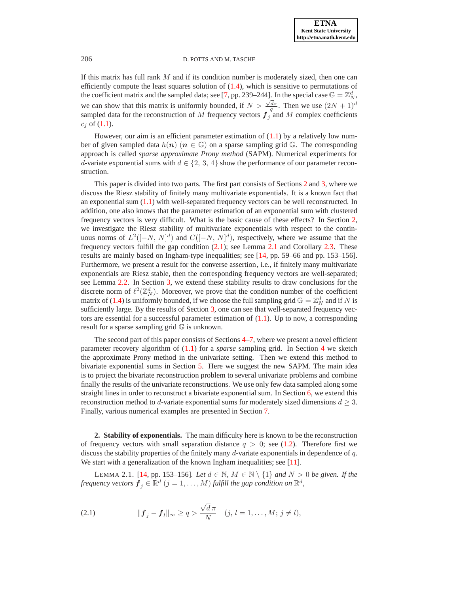If this matrix has full rank  $M$  and if its condition number is moderately sized, then one can efficiently compute the least squares solution of  $(1.4)$ , which is sensitive to permutations of the coefficient matrix and the sampled data; see [\[7,](#page-19-3) pp. 239–244]. In the special case  $\mathbb{G} = \mathbb{Z}_N^d$ , we can show that this matrix is uniformly bounded, if  $N > \frac{\sqrt{d}\pi}{q}$ . Then we use  $(2N + 1)^d$ sampled data for the reconstruction of M frequency vectors  $f_j$  and M complex coefficients  $c_j$  of [\(1.1\)](#page-0-0).

However, our aim is an efficient parameter estimation of  $(1.1)$  by a relatively low number of given sampled data  $h(n)$  ( $n \in \mathbb{G}$ ) on a sparse sampling grid  $\mathbb{G}$ . The corresponding approach is called *sparse approximate Prony method* (SAPM). Numerical experiments for d-variate exponential sums with  $d \in \{2, 3, 4\}$  show the performance of our parameter reconstruction.

This paper is divided into two parts. The first part consists of Sections [2](#page-2-0) and [3,](#page-6-0) where we discuss the Riesz stability of finitely many multivariate exponentials. It is a known fact that an exponential sum  $(1.1)$  with well-separated frequency vectors can be well reconstructed. In addition, one also knows that the parameter estimation of an exponential sum with clustered frequency vectors is very difficult. What is the basic cause of these effects? In Section [2,](#page-2-0) we investigate the Riesz stability of multivariate exponentials with respect to the continuous norms of  $L^2([-N, N]^d)$  and  $C([-N, N]^d)$ , respectively, where we assume that the frequency vectors fulfill the gap condition  $(2.1)$ ; see Lemma [2.1](#page-2-2) and Corollary [2.3.](#page-4-0) These results are mainly based on Ingham-type inequalities; see [\[14,](#page-20-14) pp. 59–66 and pp. 153–156]. Furthermore, we present a result for the converse assertion, i.e., if finitely many multivariate exponentials are Riesz stable, then the corresponding frequency vectors are well-separated; see Lemma [2.2.](#page-3-0) In Section [3,](#page-6-0) we extend these stability results to draw conclusions for the discrete norm of  $\ell^2(\mathbb{Z}_N^d)$ . Moreover, we prove that the condition number of the coefficient matrix of [\(1.4\)](#page-1-1) is uniformly bounded, if we choose the full sampling grid  $\mathbb{G} = \mathbb{Z}_N^d$  and if N is sufficiently large. By the results of Section [3,](#page-6-0) one can see that well-separated frequency vectors are essential for a successful parameter estimation of  $(1.1)$ . Up to now, a corresponding result for a sparse sampling grid  $\mathbb G$  is unknown.

The second part of this paper consists of Sections [4–](#page-8-0)[7,](#page-16-0) where we present a novel efficient parameter recovery algorithm of [\(1.1\)](#page-0-0) for a *sparse* sampling grid. In Section [4](#page-8-0) we sketch the approximate Prony method in the univariate setting. Then we extend this method to bivariate exponential sums in Section [5.](#page-10-0) Here we suggest the new SAPM. The main idea is to project the bivariate reconstruction problem to several univariate problems and combine finally the results of the univariate reconstructions. We use only few data sampled along some straight lines in order to reconstruct a bivariate exponential sum. In Section [6,](#page-13-0) we extend this reconstruction method to d-variate exponential sums for moderately sized dimensions  $d \geq 3$ . Finally, various numerical examples are presented in Section [7.](#page-16-0)

<span id="page-2-0"></span>**2. Stability of exponentials.** The main difficulty here is known to be the reconstruction of frequency vectors with small separation distance  $q > 0$ ; see [\(1.2\)](#page-0-1). Therefore first we discuss the stability properties of the finitely many  $d$ -variate exponentials in dependence of  $q$ . We start with a generalization of the known Ingham inequalities; see [\[11\]](#page-20-15).

<span id="page-2-2"></span><span id="page-2-1"></span>LEMMA 2.1. [\[14,](#page-20-14) pp. 153–156]*. Let*  $d \in \mathbb{N}$ *, M* ∈  $\mathbb{N} \setminus \{1\}$  *and*  $N > 0$  *be given. If the frequency vectors*  $\boldsymbol{f}_j \in \mathbb{R}^d$   $(j = 1, ..., M)$  *fulfill the gap condition on*  $\mathbb{R}^d$ *,* 

(2.1) 
$$
\|f_j - f_l\|_{\infty} \ge q > \frac{\sqrt{d}\pi}{N} \quad (j, l = 1, ..., M; j \ne l),
$$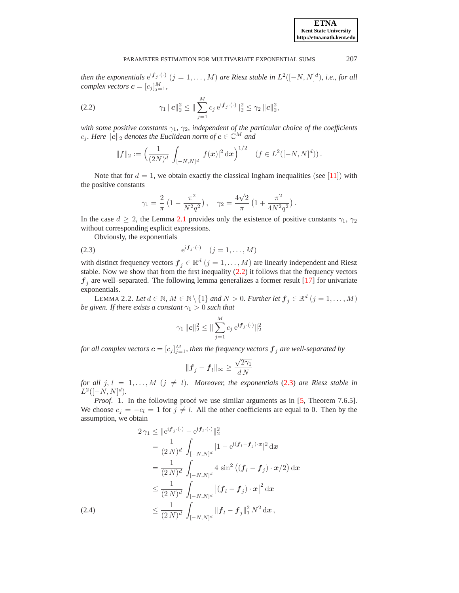<span id="page-3-1"></span>*then the exponentials*  $e^{if_j \cdot (.)}$   $(j = 1, ..., M)$  *are Riesz stable in*  $L^2([-N, N]^d)$ *, i.e., for all complex vectors*  $\mathbf{c} = [c_j]_{j=1}^M$ ,

(2.2) 
$$
\gamma_1 \|c\|_2^2 \leq \|\sum_{j=1}^M c_j e^{i \mathbf{f}_j \cdot (\cdot)}\|_2^2 \leq \gamma_2 \|c\|_2^2,
$$

*with some positive constants*  $γ<sub>1</sub>, γ<sub>2</sub>$ *, independent of the particular choice of the coefficients*  $c_j$ *. Here*  $||c||_2$  *denotes the Euclidean norm of*  $c \in \mathbb{C}^M$  *and* 

$$
||f||_2 := \left(\frac{1}{(2N)^d} \int_{[-N,N]^d} |f(\boldsymbol{x})|^2 d\boldsymbol{x}\right)^{1/2} \quad (f \in L^2([-N,N]^d)).
$$

Note that for  $d = 1$ , we obtain exactly the classical Ingham inequalities (see [[11](#page-20-15)]) with the positive constants

$$
\gamma_1 = \frac{2}{\pi} \left( 1 - \frac{\pi^2}{N^2 q^2} \right), \quad \gamma_2 = \frac{4\sqrt{2}}{\pi} \left( 1 + \frac{\pi^2}{4N^2 q^2} \right).
$$

In the case  $d \geq 2$ , the Lemma [2.1](#page-2-2) provides only the existence of positive constants  $\gamma_1$ ,  $\gamma_2$ without corresponding explicit expressions.

<span id="page-3-2"></span>Obviously, the exponentials

(2.3) 
$$
e^{i f_j \cdot (\cdot)} \quad (j = 1, ..., M)
$$

with distinct frequency vectors  $\mathbf{f}_j \in \mathbb{R}^d$   $(j = 1, ..., M)$  are linearly independent and Riesz stable. Now we show that from the first inequality  $(2.2)$  it follows that the frequency vectors  $f_j$  are well–separated. The following lemma generalizes a former result [\[17\]](#page-20-16) for univariate exponentials.

<span id="page-3-0"></span>LEMMA 2.2. *Let*  $d \in \mathbb{N}$ ,  $M \in \mathbb{N} \setminus \{1\}$  and  $N > 0$ . Further let  $\boldsymbol{f}_j \in \mathbb{R}^d$   $(j = 1, \ldots, M)$ *be given. If there exists a constant*  $\gamma_1 > 0$  *such that* 

$$
\gamma_1 \|c\|_2^2 \le \|\sum_{j=1}^M c_j e^{i \bm{f}_j \cdot (\cdot)}\|_2^2
$$

for all complex vectors  $\boldsymbol{c} = [c_j]_{j=1}^M$ , then the frequency vectors  $\boldsymbol{f}_j$  are well-separated by

$$
\|\mathbf{f}_j - \mathbf{f}_l\|_{\infty} \ge \frac{\sqrt{2\gamma_1}}{d\,N}
$$

*for all*  $j, l = 1, ..., M$   $(j \neq l)$ *. Moreover, the exponentials* [\(2.3\)](#page-3-2) *are Riesz stable in*  $L^2([-N,N]^d)$ .

*Proof.* 1. In the following proof we use similar arguments as in [\[5,](#page-19-4) Theorem 7.6.5]. We choose  $c_j = -c_l = 1$  for  $j \neq l$ . All the other coefficients are equal to 0. Then by the assumption, we obtain

<span id="page-3-3"></span>
$$
2\gamma_1 \leq ||e^{i\mathbf{f}_j \cdot (\cdot)} - e^{i\mathbf{f}_l \cdot (\cdot)}||_2^2
$$
  
\n
$$
= \frac{1}{(2N)^d} \int_{[-N,N]^d} |1 - e^{i(\mathbf{f}_l - \mathbf{f}_j) \cdot \mathbf{x}}|^2 d\mathbf{x}
$$
  
\n
$$
= \frac{1}{(2N)^d} \int_{[-N,N]^d} 4 \sin^2 ((\mathbf{f}_l - \mathbf{f}_j) \cdot \mathbf{x}/2) d\mathbf{x}
$$
  
\n
$$
\leq \frac{1}{(2N)^d} \int_{[-N,N]^d} |(\mathbf{f}_l - \mathbf{f}_j) \cdot \mathbf{x}|^2 d\mathbf{x}
$$
  
\n(2.4)  
\n
$$
\leq \frac{1}{(2N)^d} \int_{[-N,N]^d} ||\mathbf{f}_l - \mathbf{f}_j||_1^2 N^2 d\mathbf{x},
$$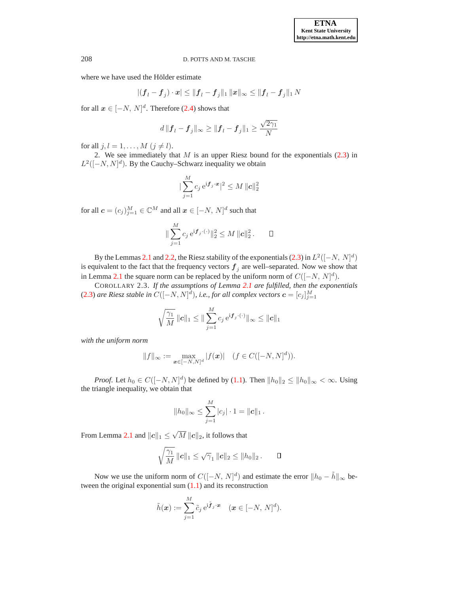where we have used the Hölder estimate

$$
|( \boldsymbol{f}_l - \boldsymbol{f}_j ) \cdot \boldsymbol{x} | \leq \| \boldsymbol{f}_l - \boldsymbol{f}_j \|_1 \, \| \boldsymbol{x} \|_\infty \leq \| \boldsymbol{f}_l - \boldsymbol{f}_j \|_1 \, N
$$

for all  $x \in [-N, N]^d$ . Therefore [\(2.4\)](#page-3-3) shows that

$$
d||\boldsymbol{f}_l - \boldsymbol{f}_j||_{\infty} \ge ||\boldsymbol{f}_l - \boldsymbol{f}_j||_1 \ge \frac{\sqrt{2\gamma_1}}{N}
$$

for all  $j, l = 1, \ldots, M$   $(j \neq l)$ .

2. We see immediately that  $M$  is an upper Riesz bound for the exponentials  $(2.3)$  in  $L^2([-N, N]^d)$ . By the Cauchy–Schwarz inequality we obtain

$$
|\sum_{j=1}^{M} c_j e^{i \mathbf{f}_j \cdot \mathbf{x}}|^2 \leq M \| \mathbf{c} \|_2^2
$$

for all  $\boldsymbol{c} = (c_j)_{j=1}^M \in \mathbb{C}^M$  and all  $\boldsymbol{x} \in [-N, \, N]^d$  such that

$$
\|\sum_{j=1}^M c_j e^{i\mathbf{f}_j \cdot (\cdot)}\|_2^2 \le M \|c\|_2^2. \qquad \Box
$$

By the Lemmas [2.1](#page-2-2) and [2.2,](#page-3-0) the Riesz stability of the exponentials [\(2.3\)](#page-3-2) in  $L^2([-N, N]^d)$ is equivalent to the fact that the frequency vectors  $f_j$  are well–separated. Now we show that in Lemma [2.1](#page-2-2) the square norm can be replaced by the uniform norm of  $C([-N, N]^d)$ .

<span id="page-4-0"></span>COROLLARY 2.3. *If the assumptions of Lemma [2.1](#page-2-2) are fulfilled, then the exponentials* [\(2.3\)](#page-3-2) are Riesz stable in  $C([-N, N]^d)$ , i.e., for all complex vectors  $\boldsymbol{c} = [c_j]_{j=1}^M$ 

$$
\sqrt{\frac{\gamma_1}{M}}\, \|{\boldsymbol{c}}\|_1 \leq \| \sum_{j=1}^M c_j \, {\rm e}^{{\rm i} {\boldsymbol{f}}_j \cdot (\cdot)} \|_\infty \leq \|{\boldsymbol{c}}\|_1
$$

*with the uniform norm*

$$
||f||_{\infty} := \max_{\mathbf{x} \in [-N,N]^d} |f(\mathbf{x})| \quad (f \in C([-N,N]^d)).
$$

*Proof.* Let  $h_0 \in C([-N, N]^d)$  be defined by [\(1.1\)](#page-0-0). Then  $||h_0||_2 \le ||h_0||_{\infty} < \infty$ . Using the triangle inequality, we obtain that

$$
||h_0||_{\infty} \leq \sum_{j=1}^{M} |c_j| \cdot 1 = ||c||_1.
$$

From Lemma [2.1](#page-2-2) and  $||c||_1 \le \sqrt{M} ||c||_2$ , it follows that

$$
\sqrt{\frac{\gamma_1}{M}}\,||c||_1 \leq \sqrt{\gamma_1}\,||c||_2 \leq ||h_0||_2\,.\qquad \Box
$$

Now we use the uniform norm of  $C([-N, N]^d)$  and estimate the error  $||h_0 - \tilde{h}||_{\infty}$  between the original exponential sum  $(1.1)$  and its reconstruction

$$
\tilde{h}(\boldsymbol{x}) := \sum_{j=1}^M \tilde{c}_j \,\mathrm{e}^{\mathrm{i} \tilde{\boldsymbol{f}}_j \cdot \boldsymbol{x}} \quad (\boldsymbol{x} \in [-N, N]^d).
$$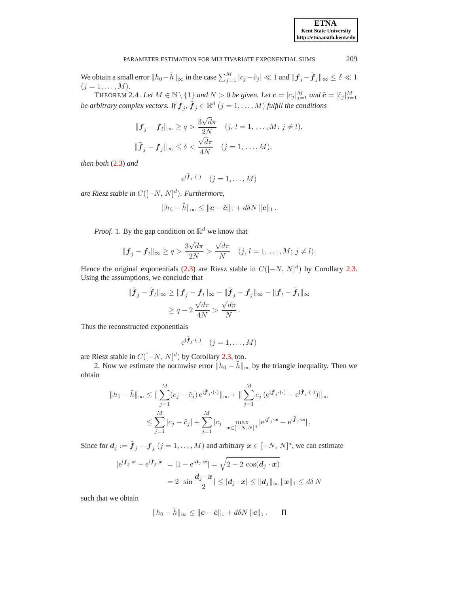We obtain a small error  $||h_0 - \tilde{h}||_{\infty}$  in the case  $\sum_{j=1}^{M} |c_j - \tilde{c}_j| \ll 1$  and  $||\boldsymbol{f}_j - \tilde{\boldsymbol{f}}_j||_{\infty} \le \delta \ll 1$  $(j = 1, \ldots, M).$ 

THEOREM 2.4. Let  $M \in \mathbb{N} \setminus \{1\}$  and  $N > 0$  be given. Let  $\boldsymbol{c} = [c_j]_{j=1}^M$  and  $\tilde{\boldsymbol{c}} = [\tilde{c}_j]_{j=1}^M$ *be arbitrary complex vectors. If*  $\boldsymbol{f}_j$ ,  $\tilde{\boldsymbol{f}}_j \in \mathbb{R}^d$   $(j = 1, \ldots, M)$  *fulfill the conditions* 

$$
\begin{aligned} \|\mathbf{f}_j - \mathbf{f}_l\|_{\infty} &\geq q > \frac{3\sqrt{d}\pi}{2N} \quad (j, l = 1, \dots, M; j \neq l), \\ \|\tilde{\mathbf{f}}_j - \mathbf{f}_j\|_{\infty} &\leq \delta < \frac{\sqrt{d}\pi}{4N} \quad (j = 1, \dots, M), \end{aligned}
$$

*then both* [\(2.3\)](#page-3-2) *and*

$$
e^{i\tilde{\boldsymbol{f}}_j\cdot(\cdot)} \quad (j=1,\ldots,M)
$$

*are Riesz stable in* C([−N, N] d )*. Furthermore,*

$$
||h_0 - \tilde{h}||_{\infty} \le ||c - \tilde{c}||_1 + d\delta N ||c||_1.
$$

*Proof.* 1. By the gap condition on  $\mathbb{R}^d$  we know that

$$
\|\mathbf{f}_j-\mathbf{f}_l\|_{\infty}\geq q>\frac{3\sqrt{d}\pi}{2N}>\frac{\sqrt{d}\pi}{N} \quad (j, l=1,\ldots,M; j\neq l).
$$

Hence the original exponentials [\(2.3\)](#page-3-2) are Riesz stable in  $C([-N, N]^d)$  by Corollary [2.3.](#page-4-0) Using the assumptions, we conclude that

$$
\|\tilde{\boldsymbol{f}}_j - \tilde{\boldsymbol{f}}_l\|_{\infty} \ge \|\boldsymbol{f}_j - \boldsymbol{f}_l\|_{\infty} - \|\tilde{\boldsymbol{f}}_j - \boldsymbol{f}_j\|_{\infty} - \|\boldsymbol{f}_l - \tilde{\boldsymbol{f}}_l\|_{\infty} \ge q - 2\frac{\sqrt{d}\pi}{4N} > \frac{\sqrt{d}\pi}{N}.
$$

Thus the reconstructed exponentials

$$
e^{i\tilde{\bm{f}}_j\cdot(\cdot)} \quad (j=1,\ldots,M)
$$

are Riesz stable in  $C([-N, N]^d)$  by Corollary [2.3,](#page-4-0) too.

2. Now we estimate the normwise error  $||h_0 - \hat{h}||_{\infty}$  by the triangle inequality. Then we obtain

$$
||h_0 - \tilde{h}||_{\infty} \le ||\sum_{j=1}^{M} (c_j - \tilde{c}_j) e^{i\tilde{f}_j \cdot (\cdot)}||_{\infty} + ||\sum_{j=1}^{M} c_j (e^{i f_j \cdot (\cdot)} - e^{i \tilde{f}_j \cdot (\cdot)})||_{\infty}
$$
  

$$
\le \sum_{j=1}^{M} |c_j - \tilde{c}_j| + \sum_{j=1}^{M} |c_j| \max_{\mathbf{x} \in [-N, N]^d} |e^{i f_j \cdot \mathbf{x}} - e^{i \tilde{f}_j \cdot \mathbf{x}}|.
$$

Since for  $d_j := \tilde{\bm{f}}_j - \bm{f}_j$   $(j = 1, ..., M)$  and arbitrary  $\bm{x} \in [-N, N]^d$ , we can estimate

$$
|e^{i\mathbf{f}_j \cdot \mathbf{x}} - e^{i\widetilde{\mathbf{f}}_j \cdot \mathbf{x}}| = |1 - e^{i\mathbf{d}_j \cdot \mathbf{x}}| = \sqrt{2 - 2 \cos(\mathbf{d}_j \cdot \mathbf{x})}
$$

$$
= 2|\sin\frac{\mathbf{d}_j \cdot \mathbf{x}}{2}| \le |\mathbf{d}_j \cdot \mathbf{x}| \le ||\mathbf{d}_j||_{\infty} ||\mathbf{x}||_1 \le d\delta N
$$

such that we obtain

$$
||h_0 - \tilde{h}||_{\infty} \le ||c - \tilde{c}||_1 + d\delta N ||c||_1.
$$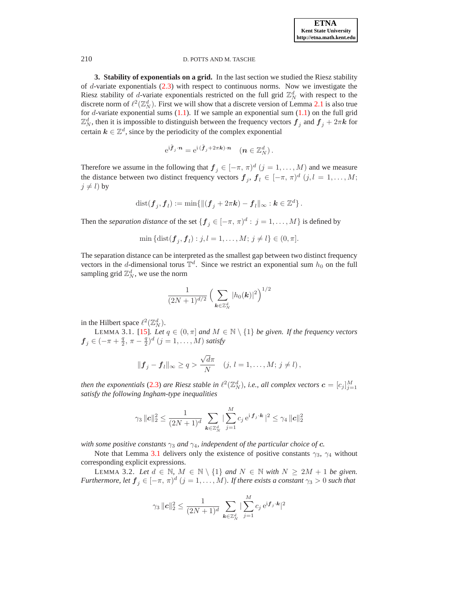<span id="page-6-0"></span>**3. Stability of exponentials on a grid.** In the last section we studied the Riesz stability of  $d$ -variate exponentials  $(2.3)$  with respect to continuous norms. Now we investigate the Riesz stability of d-variate exponentials restricted on the full grid  $\mathbb{Z}_N^d$  with respect to the discrete norm of  $\ell^2(\mathbb{Z}_N^d)$ . First we will show that a discrete version of Lemma [2.1](#page-2-2) is also true for  $d$ -variate exponential sums  $(1.1)$ . If we sample an exponential sum  $(1.1)$  on the full grid  $\mathbb{Z}_N^d$ , then it is impossible to distinguish between the frequency vectors  $\bm{f}_j$  and  $\bm{f}_j + 2\pi \bm{k}$  for certain  $k \in \mathbb{Z}^d$ , since by the periodicity of the complex exponential

$$
e^{\mathrm{i} \tilde{\boldsymbol{f}}_j \cdot \boldsymbol{n}} = e^{\mathrm{i} \, (\tilde{\boldsymbol{f}}_j + 2\pi \boldsymbol{k}) \cdot \boldsymbol{n}} \quad (\boldsymbol{n} \in \mathbb{Z}_N^d) \, .
$$

Therefore we assume in the following that  $f_j \in [-\pi, \pi)^d$   $(j = 1, ..., M)$  and we measure the distance between two distinct frequency vectors  $f_j$ ,  $f_l \in [-\pi, \pi)^d$   $(j, l = 1, \dots, M;$  $j \neq l$ ) by

$$
\text{dist}(\boldsymbol{f}_j, \boldsymbol{f}_l) := \min \{ \Vert (\boldsymbol{f}_j + 2\pi \boldsymbol{k}) - \boldsymbol{f}_l \Vert_{\infty} : \boldsymbol{k} \in \mathbb{Z}^d \}.
$$

Then the *separation distance* of the set  $\{f_j \in [-\pi, \pi)^d : j = 1, \dots, M\}$  is defined by

min {dist(
$$
\mathbf{f}_j, \mathbf{f}_l
$$
) :  $j, l = 1, ..., M; j \neq l$ }  $\in (0, \pi]$ .

The separation distance can be interpreted as the smallest gap between two distinct frequency vectors in the d-dimensional torus  $\mathbb{T}^d$ . Since we restrict an exponential sum  $h_0$  on the full sampling grid  $\mathbb{Z}_N^d$ , we use the norm

$$
\frac{1}{(2N+1)^{d/2}} \left(\sum_{\mathbf{k} \in \mathbb{Z}_N^d} |h_0(\mathbf{k})|^2\right)^{1/2}
$$

<span id="page-6-1"></span>in the Hilbert space  $\ell^2(\mathbb{Z}_N^d)$ .

LEMMA 3.1. [\[15\]](#page-20-17)*. Let*  $q \in (0, \pi]$  *and*  $M \in \mathbb{N} \setminus \{1\}$  *be given. If the frequency vectors*  $\bm{f}_j \in (-\pi + \frac{q}{2}, \, \pi - \frac{q}{2})^d \; (j = 1, \ldots, M)$  satisfy

$$
\|\boldsymbol{f}_j-\boldsymbol{f}_l\|_{\infty}\geq q>\frac{\sqrt{d}\pi}{N}\quad (j,\,l=1,\ldots,M;\,j\neq l)\,,
$$

*then the exponentials* [\(2.3\)](#page-3-2) *are Riesz stable in*  $\ell^2(\mathbb{Z}_N^d)$ , *i.e.*, *all complex vectors*  $\boldsymbol{c} = [c_j]_{j=1}^M$ *satisfy the following Ingham-type inequalities*

$$
\gamma_3 \| \boldsymbol{c} \|_2^2 \leq \frac{1}{(2N+1)^d} \sum_{\boldsymbol{k} \in \mathbb{Z}_N^d} | \sum_{j=1}^M c_j \, \mathrm{e}^{\mathrm{i} \, \boldsymbol{f}_j \cdot \boldsymbol{k}} |^2 \leq \gamma_4 \| \boldsymbol{c} \|_2^2
$$

*with some positive constants*  $\gamma_3$  *and*  $\gamma_4$ *, independent of the particular choice of c.* 

<span id="page-6-2"></span>Note that Lemma [3.1](#page-6-1) delivers only the existence of positive constants  $\gamma_3$ ,  $\gamma_4$  without corresponding explicit expressions.

LEMMA 3.2. Let  $d \in \mathbb{N}$ ,  $M \in \mathbb{N} \setminus \{1\}$  and  $N \in \mathbb{N}$  with  $N \geq 2M + 1$  be given. *Furthermore, let*  $\boldsymbol{f}_j \in [-\pi, \, \pi)^d$   $(j = 1, \ldots, M)$ *. If there exists a constant*  $\gamma_3 > 0$  *such that* 

$$
\gamma_3 \| \bm{c} \|_2^2 \leq \frac{1}{(2N+1)^d} \sum_{\bm{k} \in \mathbb{Z}_N^d} | \sum_{j=1}^M c_j \, \mathrm{e}^{\mathrm{i} \bm{f}_j \cdot \bm{k}} |^2
$$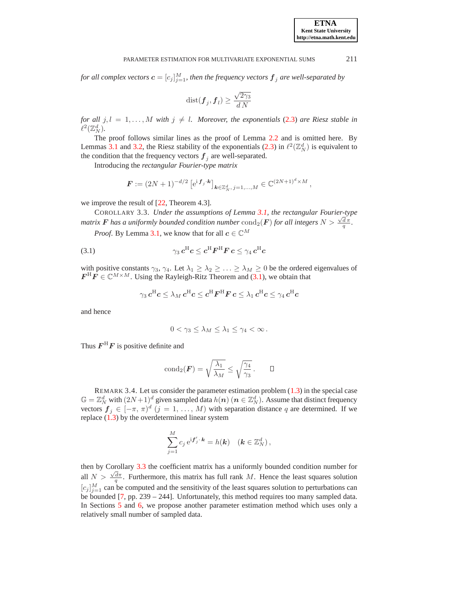for all complex vectors  $\boldsymbol{c} = [c_j]_{j=1}^M$ , then the frequency vectors  $\boldsymbol{f}_j$  are well-separated by

$$
\text{dist}(\pmb{f}_j,\pmb{f}_l)\geq \frac{\sqrt{2\gamma_3}}{d\,N}
$$

*for all*  $j, l = 1, \ldots, M$  *with*  $j \neq l$ *. Moreover, the exponentials* [\(2.3\)](#page-3-2) *are Riesz stable in*  $\ell^2(\mathbb{Z}_N^d)$ .

The proof follows similar lines as the proof of Lemma [2.2](#page-3-0) and is omitted here. By Lemmas [3.1](#page-6-1) and [3.2,](#page-6-2) the Riesz stability of the exponentials [\(2.3\)](#page-3-2) in  $\ell^2(\mathbb{Z}_N^d)$  is equivalent to the condition that the frequency vectors  $f_j$  are well-separated.

Introducing the *rectangular Fourier-type matrix*

$$
\boldsymbol{F} := (2N+1)^{-d/2} \left[ e^{i \boldsymbol{f}_j \cdot \boldsymbol{k}} \right]_{\boldsymbol{k} \in \mathbb{Z}_N^d, \ j=1,\dots,M} \in \mathbb{C}^{(2N+1)^d \times M},
$$

<span id="page-7-1"></span>we improve the result of [\[22,](#page-20-18) Theorem 4.3].

COROLLARY 3.3. *Under the assumptions of Lemma [3.1,](#page-6-1) the rectangular Fourier-type matrix* **F** has a uniformly bounded condition number  $\text{cond}_2(\mathbf{F})$  for all integers  $N > \frac{\sqrt{d}}{q}$ .

*Proof.* By Lemma [3.1,](#page-6-1) we know that for all  $c \in \mathbb{C}^M$ 

(3.1) 
$$
\gamma_3 c^{\rm H} c \leq c^{\rm H} F^{\rm H} F c \leq \gamma_4 c^{\rm H} c
$$

with positive constants  $\gamma_3, \gamma_4$ . Let  $\lambda_1 \geq \lambda_2 \geq \ldots \geq \lambda_M \geq 0$  be the ordered eigenvalues of  $\boldsymbol{F}^{\text{H}}\boldsymbol{F} \in \mathbb{C}^{M \times M}$ . Using the Rayleigh-Ritz Theorem and [\(3.1\)](#page-7-0), we obtain that

<span id="page-7-0"></span>
$$
\gamma_3\, \boldsymbol{c}^{\rm H} \boldsymbol{c} \le \lambda_M\, \boldsymbol{c}^{\rm H} \boldsymbol{c} \le \boldsymbol{c}^{\rm H} \boldsymbol{F}^{\rm H} \boldsymbol{F}\, \boldsymbol{c} \le \lambda_1\, \boldsymbol{c}^{\rm H} \boldsymbol{c} \le \gamma_4\, \boldsymbol{c}^{\rm H} \boldsymbol{c}
$$

and hence

$$
0<\gamma_3\leq\lambda_M\leq\lambda_1\leq\gamma_4<\infty.
$$

Thus  $\boldsymbol{F}^{\mathrm{H}}\boldsymbol{F}$  is positive definite and

$$
\operatorname{cond}_2(\boldsymbol{F}) = \sqrt{\frac{\lambda_1}{\lambda_M}} \le \sqrt{\frac{\gamma_4}{\gamma_3}} \, . \qquad \Box
$$

REMARK 3.4. Let us consider the parameter estimation problem [\(1.3\)](#page-1-0) in the special case  $\mathbb{G} = \mathbb{Z}_N^d$  with  $(2N+1)^d$  given sampled data  $h(n)$   $(n \in \mathbb{Z}_N^d)$ . Assume that distinct frequency vectors  $f_j \in [-\pi, \pi]^d$   $(j = 1, \ldots, M)$  with separation distance q are determined. If we replace  $(1.3)$  by the overdetermined linear system

$$
\sum_{j=1}^M c_j \,\mathrm{e}^{\mathrm{i} \boldsymbol{f}'_j \cdot \boldsymbol{k}} = h(\boldsymbol{k}) \quad (\boldsymbol{k} \in \mathbb{Z}_N^d) \,,
$$

then by Corollary [3.3](#page-7-1) the coefficient matrix has a uniformly bounded condition number for all  $N > \frac{\sqrt{d}\pi}{q}$ . Furthermore, this matrix has full rank M. Hence the least squares solution  $[c_j]_{j=1}^M$  can be computed and the sensitivity of the least squares solution to perturbations can be bounded [\[7,](#page-19-3) pp. 239 – 244]. Unfortunately, this method requires too many sampled data. In Sections [5](#page-10-0) and [6,](#page-13-0) we propose another parameter estimation method which uses only a relatively small number of sampled data.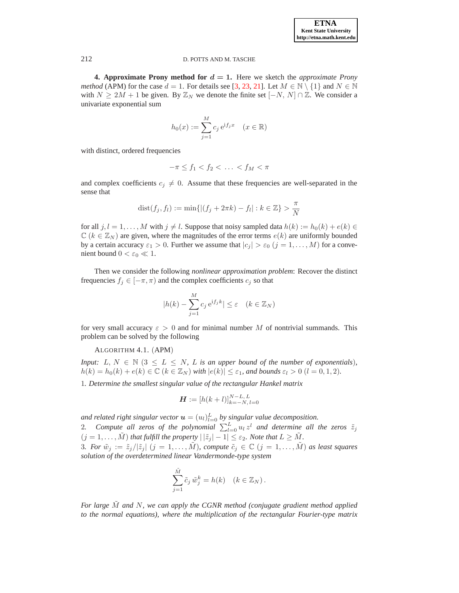<span id="page-8-0"></span>**4. Approximate Prony method for**  $d = 1$ **.** Here we sketch the *approximate Prony method* (APM) for the case  $d = 1$ . For details see [\[3,](#page-19-1) [23,](#page-20-8) [21\]](#page-20-19). Let  $M \in \mathbb{N} \setminus \{1\}$  and  $N \in \mathbb{N}$ with  $N \ge 2M + 1$  be given. By  $\mathbb{Z}_N$  we denote the finite set  $[-N, N] \cap \mathbb{Z}$ . We consider a univariate exponential sum

$$
h_0(x) := \sum_{j=1}^{M} c_j e^{if_j x} \quad (x \in \mathbb{R})
$$

with distinct, ordered frequencies

$$
-\pi \le f_1 < f_2 < \ldots < f_M < \pi
$$

and complex coefficients  $c_j \neq 0$ . Assume that these frequencies are well-separated in the sense that

dist
$$
(f_j, f_l) := min\{|(f_j + 2\pi k) - f_l| : k \in \mathbb{Z}\}\gt \frac{\pi}{N}
$$

for all  $j, l = 1, \ldots, M$  with  $j \neq l$ . Suppose that noisy sampled data  $h(k) := h_0(k) + e(k) \in$  $\mathbb{C}$  ( $k \in \mathbb{Z}_N$ ) are given, where the magnitudes of the error terms  $e(k)$  are uniformly bounded by a certain accuracy  $\varepsilon_1 > 0$ . Further we assume that  $|c_j| > \varepsilon_0$   $(j = 1, ..., M)$  for a convenient bound  $0 < \varepsilon_0 \ll 1$ .

Then we consider the following *nonlinear approximation problem*: Recover the distinct frequencies  $f_j \in [-\pi, \pi)$  and the complex coefficients  $c_j$  so that

$$
|h(k) - \sum_{j=1}^{M} c_j e^{if_j k}| \le \varepsilon \quad (k \in \mathbb{Z}_N)
$$

<span id="page-8-1"></span>for very small accuracy  $\varepsilon > 0$  and for minimal number M of nontrivial summands. This problem can be solved by the following

# ALGORITHM 4.1. (APM)

*Input:*  $L, N \in \mathbb{N}$   $(3 \leq L \leq N, L$  *is an upper bound of the number of exponentials*)*,*  $h(k) = h_0(k) + e(k) \in \mathbb{C}$   $(k \in \mathbb{Z}_N)$  *with*  $|e(k)| \leq \varepsilon_1$ *, and bounds*  $\varepsilon_l > 0$   $(l = 0, 1, 2)$ *.* 

1*. Determine the smallest singular value of the rectangular Hankel matrix*

$$
\boldsymbol{H} := [h(k+l)]_{k=-N,\,l=0}^{N-L,\,L}
$$

and related right singular vector  $\boldsymbol{u} = (u_l)_{l=0}^L$  by singular value decomposition. 2. Compute all zeros of the polynomial  $\sum_{l=0}^{L} u_l z^l$  and determine all the zeros  $\tilde{z}_j$  $(j = 1, \ldots, \tilde{M})$  *that fulfill the property*  $|\tilde{z}_j| - 1| \leq \varepsilon_2$ *. Note that*  $L \geq \tilde{M}$ *.* 3*. For*  $\tilde{w}_j := \tilde{z}_j/|\tilde{z}_j|$   $(j = 1, ..., M)$ *, compute*  $\tilde{c}_j \in \mathbb{C}$   $(j = 1, ..., M)$  *as least squares solution of the overdetermined linear Vandermonde-type system*

$$
\sum_{j=1}^{\tilde{M}} \tilde{c}_j \tilde{w}_j^k = h(k) \quad (k \in \mathbb{Z}_N).
$$

*For large* M˜ *and* N*, we can apply the CGNR method (conjugate gradient method applied to the normal equations), where the multiplication of the rectangular Fourier-type matrix*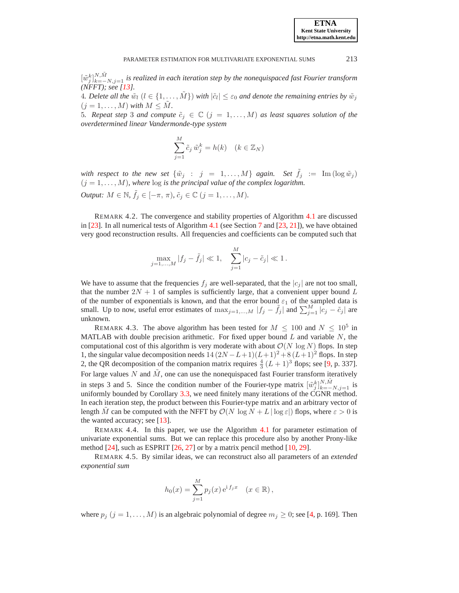$\left[\tilde{w}_{j}\right]_{k=-N}^{N,\tilde{M}}$  *is realized in each iteration step by the nonequispaced fast Fourier transform (NFFT); see [\[13\]](#page-20-20).*

4. Delete all the  $\tilde{w}_l$   $(l \in \{1, \ldots, \tilde{M}\})$  with  $|\tilde{c}_l| \leq \varepsilon_0$  and denote the remaining entries by  $\tilde{w}_j$  $(j = 1, \ldots, M)$  *with*  $M \leq M$ .

5*.* Repeat step 3 and compute  $\tilde{c}_j \in \mathbb{C}$   $(j = 1, ..., M)$  as least squares solution of the *overdetermined linear Vandermonde-type system*

$$
\sum_{j=1}^{M} \tilde{c}_j \tilde{w}_j^k = h(k) \quad (k \in \mathbb{Z}_N)
$$

*with respect to the new set*  $\{\tilde{w}_j : j = 1, ..., M\}$  *again. Set*  $\tilde{f}_j := \text{Im}(\log \tilde{w}_j)$  $(j = 1, \ldots, M)$ , where  $\log$  *is the principal value of the complex logarithm. Output:*  $M \in \mathbb{N}$ ,  $\tilde{f}_j \in [-\pi, \pi)$ ,  $\tilde{c}_j \in \mathbb{C}$   $(j = 1, ..., M)$ .

REMARK 4.2. The convergence and stability properties of Algorithm [4.1](#page-8-1) are discussed in [\[23\]](#page-20-8). In all numerical tests of Algorithm [4.1](#page-8-1) (see Section [7](#page-16-0) and [\[23,](#page-20-8) [21\]](#page-20-19)), we have obtained very good reconstruction results. All frequencies and coefficients can be computed such that

$$
\max_{j=1,...,M} |f_j - \tilde{f}_j| \ll 1, \quad \sum_{j=1}^{M} |c_j - \tilde{c}_j| \ll 1.
$$

We have to assume that the frequencies  $f_i$  are well-separated, that the  $|c_i|$  are not too small, that the number  $2N + 1$  of samples is sufficiently large, that a convenient upper bound L of the number of exponentials is known, and that the error bound  $\varepsilon_1$  of the sampled data is small. Up to now, useful error estimates of  $\max_{j=1,\dots,M} |f_j - \tilde{f}_j|$  and  $\sum_{j=1}^M |\tilde{c}_j - \tilde{c}_j|$  are unknown.

REMARK 4.3. The above algorithm has been tested for  $M \le 100$  and  $N \le 10^5$  in MATLAB with double precision arithmetic. For fixed upper bound  $L$  and variable  $N$ , the computational cost of this algorithm is very moderate with about  $\mathcal{O}(N \log N)$  flops. In step 1, the singular value decomposition needs  $14(2N-L+1)(L+1)^2+8(L+1)^2$  flops. In step 2, the QR decomposition of the companion matrix requires  $\frac{4}{3}(L+1)^3$  flops; see [\[9,](#page-20-21) p. 337]. For large values  $N$  and  $\tilde{M}$ , one can use the nonequispaced fast Fourier transform iteratively in steps 3 and 5. Since the condition number of the Fourier-type matrix  $[\tilde{w}_{j}^{k}]_{k=-N,j=1}^{N,\tilde{M}}$  is uniformly bounded by Corollary [3.3,](#page-7-1) we need finitely many iterations of the CGNR method. In each iteration step, the product between this Fourier-type matrix and an arbitrary vector of length M can be computed with the NFFT by  $\mathcal{O}(N \log N + L | \log \varepsilon|)$  flops, where  $\varepsilon > 0$  is the wanted accuracy; see [\[13\]](#page-20-20).

REMARK 4.4. In this paper, we use the Algorithm [4.1](#page-8-1) for parameter estimation of univariate exponential sums. But we can replace this procedure also by another Prony-like method  $[24]$ , such as ESPRIT  $[26, 27]$  $[26, 27]$  or by a matrix pencil method  $[10, 29]$  $[10, 29]$ .

REMARK 4.5. By similar ideas, we can reconstruct also all parameters of an *extended exponential sum*

$$
h_0(x) = \sum_{j=1}^{M} p_j(x) e^{i f_j x} \quad (x \in \mathbb{R}),
$$

where  $p_j$   $(j = 1, ..., M)$  is an algebraic polynomial of degree  $m_j \geq 0$ ; see [\[4,](#page-19-5) p. 169]. Then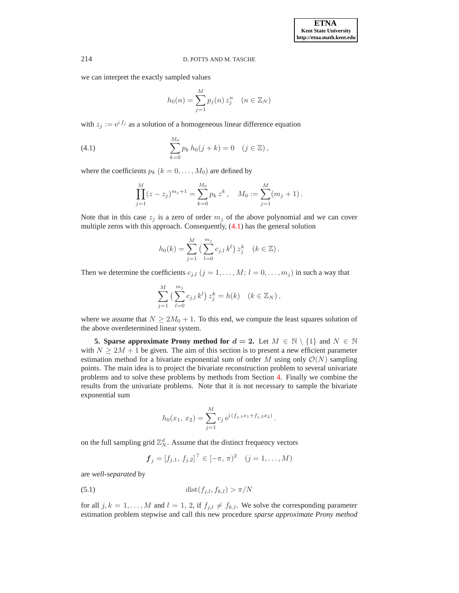we can interpret the exactly sampled values

<span id="page-10-1"></span>
$$
h_0(n) = \sum_{j=1}^{M} p_j(n) z_j^n \quad (n \in \mathbb{Z}_N)
$$

with  $z_i := e^{i f_j}$  as a solution of a homogeneous linear difference equation

(4.1) 
$$
\sum_{k=0}^{M_0} p_k h_0(j+k) = 0 \quad (j \in \mathbb{Z}),
$$

where the coefficients  $p_k$   $(k = 0, \ldots, M_0)$  are defined by

$$
\prod_{j=1}^{M} (z - z_j)^{m_j + 1} = \sum_{k=0}^{M_0} p_k z^k, \quad M_0 := \sum_{j=1}^{M} (m_j + 1).
$$

Note that in this case  $z_j$  is a zero of order  $m_j$  of the above polynomial and we can cover multiple zeros with this approach. Consequently, [\(4.1\)](#page-10-1) has the general solution

$$
h_0(k) = \sum_{j=1}^{M} \left( \sum_{l=0}^{m_j} c_{j,l} k^l \right) z_j^k \quad (k \in \mathbb{Z}).
$$

Then we determine the coefficients  $c_{j,l}$   $(j = 1, \ldots, M; l = 0, \ldots, m_j)$  in such a way that

$$
\sum_{j=1}^{M} \left( \sum_{l=0}^{m_j} c_{j,l} k^l \right) z_j^k = h(k) \quad (k \in \mathbb{Z}_N),
$$

where we assume that  $N \geq 2M_0 + 1$ . To this end, we compute the least squares solution of the above overdetermined linear system.

<span id="page-10-0"></span>**5. Sparse approximate Prony method for**  $d = 2$ **.** Let  $M \in \mathbb{N} \setminus \{1\}$  and  $N \in \mathbb{N}$ with  $N \geq 2M + 1$  be given. The aim of this section is to present a new efficient parameter estimation method for a bivariate exponential sum of order M using only  $\mathcal{O}(N)$  sampling points. The main idea is to project the bivariate reconstruction problem to several univariate problems and to solve these problems by methods from Section [4.](#page-8-0) Finally we combine the results from the univariate problems. Note that it is not necessary to sample the bivariate exponential sum

$$
h_0(x_1, x_2) = \sum_{j=1}^{M} c_j e^{i (f_{j,1}x_1 + f_{j,2}x_2)}.
$$

on the full sampling grid  $\mathbb{Z}_N^d$ . Assume that the distinct frequency vectors

$$
f_j = [f_{j,1}, f_{j,2}]^\top \in [-\pi, \pi)^2 \quad (j = 1, ..., M)
$$

<span id="page-10-2"></span>are *well-separated* by

$$
\text{(5.1)}\qquad \qquad \text{dist}(f_{j,l}, f_{k,l}) > \pi/N
$$

for all  $j, k = 1, ..., M$  and  $l = 1, 2$ , if  $f_{j,l} \neq f_{k,l}$ . We solve the corresponding parameter estimation problem stepwise and call this new procedure *sparse approximate Prony method*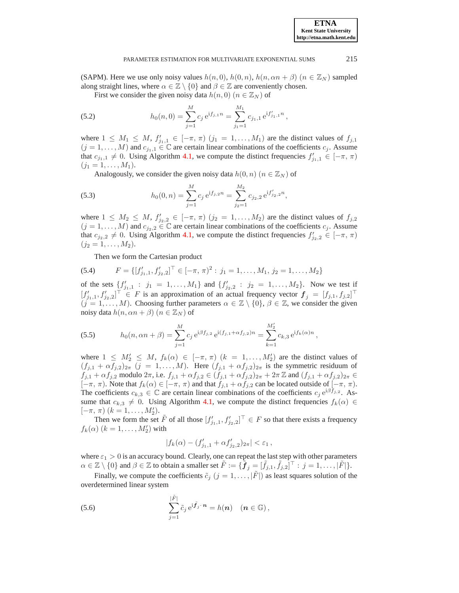,

#### <span id="page-11-1"></span>PARAMETER ESTIMATION FOR MULTIVARIATE EXPONENTIAL SUMS 215

(SAPM). Here we use only noisy values  $h(n, 0)$ ,  $h(0, n)$ ,  $h(n, \alpha n + \beta)$   $(n \in \mathbb{Z}_N)$  sampled along straight lines, where  $\alpha \in \mathbb{Z} \setminus \{0\}$  and  $\beta \in \mathbb{Z}$  are conveniently chosen.

First we consider the given noisy data  $h(n, 0)$   $(n \in \mathbb{Z}_N)$  of

(5.2) 
$$
h_0(n,0) = \sum_{j=1}^{M} c_j e^{i f_{j,1} n} = \sum_{j_1=1}^{M_1} c_{j_1,1} e^{i f'_{j_1,1} n},
$$

where  $1 \leq M_1 \leq M$ ,  $f'_{j_1,1} \in [-\pi, \pi)$   $(j_1 = 1, \ldots, M_1)$  are the distinct values of  $f_{j,1}$  $(j = 1, \ldots, M)$  and  $c_{j_1,1} \in \mathbb{C}$  are certain linear combinations of the coefficients  $c_j$ . Assume that  $c_{j_1,1} \neq 0$ . Using Algorithm [4.1,](#page-8-1) we compute the distinct frequencies  $f'_{j_1,1} \in [-\pi, \pi)$  $(j_1 = 1, \ldots, M_1).$ 

<span id="page-11-2"></span>Analogously, we consider the given noisy data  $h(0, n)$  ( $n \in \mathbb{Z}_N$ ) of

(5.3) 
$$
h_0(0,n) = \sum_{j=1}^{M} c_j e^{i f_{j,2} n} = \sum_{j_2=1}^{M_2} c_{j_2,2} e^{i f'_{j_2,2} n},
$$

where  $1 \leq M_2 \leq M$ ,  $f'_{j_2,2} \in [-\pi, \pi)$   $(j_2 = 1, \ldots, M_2)$  are the distinct values of  $f_{j,2}$  $(j = 1, \ldots, M)$  and  $c_{j_2,2} \in \mathbb{C}$  are certain linear combinations of the coefficients  $c_j$ . Assume that  $c_{j_2,2} \neq 0$ . Using Algorithm [4.1,](#page-8-1) we compute the distinct frequencies  $f'_{j_2,2} \in [-\pi, \pi)$  $(j_2 = 1, \ldots, M_2).$ 

<span id="page-11-3"></span>Then we form the Cartesian product

(5.4) 
$$
F = \{ [f'_{j_1,1}, f'_{j_2,2}]^\top \in [-\pi, \pi)^2 : j_1 = 1, \dots, M_1, j_2 = 1, \dots, M_2 \}
$$

of the sets  $\{f'_{j_1,1} : j_1 = 1, ..., M_1\}$  and  $\{f'_{j_2,2} : j_2 = 1, ..., M_2\}$ . Now we test if  $[f'_{j_1,1}, f'_{j_2,2}]$   $\in$  F is an approximation of an actual frequency vector  $f_j = [f_{j,1}, f_{j,2}]$  $(j = 1, \ldots, M)$ . Choosing further parameters  $\alpha \in \mathbb{Z} \setminus \{0\}, \beta \in \mathbb{Z}$ , we consider the given noisy data  $h(n, \alpha n + \beta)$   $(n \in \mathbb{Z}_N)$  of

<span id="page-11-4"></span>(5.5) 
$$
h_0(n, \alpha n + \beta) = \sum_{j=1}^{M} c_j e^{i\beta f_{j,2}} e^{i(f_{j,1} + \alpha f_{j,2})n} = \sum_{k=1}^{M'_2} c_{k,3} e^{i f_k(\alpha)n}
$$

where  $1 \leq M'_2 \leq M$ ,  $f_k(\alpha) \in [-\pi, \pi)$   $(k = 1, \ldots, M'_2)$  are the distinct values of  $(f_{j,1} + \alpha f_{j,2})_{2\pi}$   $(j = 1, \ldots, M)$ . Here  $(f_{j,1} + \alpha f_{j,2})_{2\pi}$  is the symmetric residuum of  $f_{j,1} + \alpha f_{j,2}$  modulo  $2\pi$ , i.e.  $f_{j,1} + \alpha f_{j,2} \in (f_{j,1} + \alpha f_{j,2})_{2\pi} + 2\pi \mathbb{Z}$  and  $(f_{j,1} + \alpha f_{j,2})_{2\pi} \in$  $[-\pi, \pi)$ . Note that  $f_k(\alpha) \in [-\pi, \pi)$  and that  $f_{j,1} + \alpha f_{j,2}$  can be located outside of  $[-\pi, \pi)$ . The coefficients  $c_{k,3} \in \mathbb{C}$  are certain linear combinations of the coefficients  $c_j e^{i\beta f_{j,2}}$ . Assume that  $c_{k,3} \neq 0$ . Using Algorithm [4.1,](#page-8-1) we compute the distinct frequencies  $f_k(\alpha) \in$  $[-\pi, \pi)$   $(k = 1, \ldots, M'_2).$ 

Then we form the set  $\tilde{F}$  of all those  $[f'_{j_1,1}, f'_{j_2,2}]^{\top} \in F$  so that there exists a frequency  $f_k(\alpha)$   $(k = 1, \ldots, M'_2)$  with

$$
|f_k(\alpha) - (f'_{j_1,1} + \alpha f'_{j_2,2})_{2\pi}| < \varepsilon_1 \,,
$$

where  $\varepsilon_1 > 0$  is an accuracy bound. Clearly, one can repeat the last step with other parameters  $\alpha \in \mathbb{Z} \setminus \{0\}$  and  $\beta \in \mathbb{Z}$  to obtain a smaller set  $\tilde{F} := \{ \tilde{\boldsymbol{f}}_j = [\tilde{f}_{j,1}, \tilde{f}_{j,2}]^\top : j = 1, \dots, |\tilde{F}|\}.$ 

<span id="page-11-0"></span>Finally, we compute the coefficients  $\tilde{c}_j$   $(j = 1, ..., |\tilde{F}|)$  as least squares solution of the overdetermined linear system

(5.6) 
$$
\sum_{j=1}^{|\tilde{F}|} \tilde{c}_j e^{i \tilde{f}_j \cdot \boldsymbol{n}} = h(\boldsymbol{n}) \quad (\boldsymbol{n} \in \mathbb{G}),
$$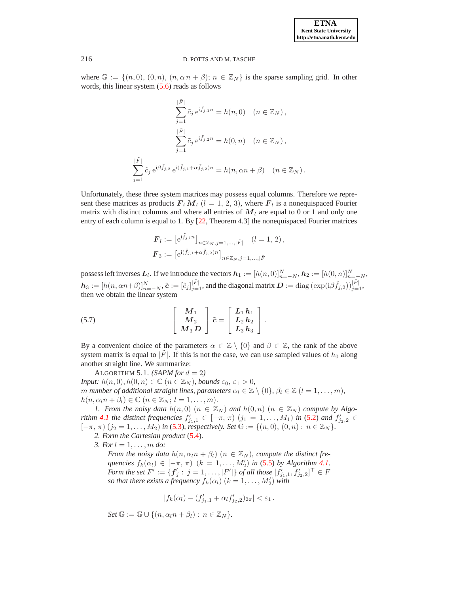where  $\mathbb{G} := \{(n, 0), (0, n), (n, \alpha n + \beta); n \in \mathbb{Z}_N\}$  is the sparse sampling grid. In other words, this linear system  $(5.6)$  reads as follows

$$
\sum_{j=1}^{|\tilde{F}|} \tilde{c}_j e^{i \tilde{f}_{j,1} n} = h(n,0) \quad (n \in \mathbb{Z}_N),
$$
  

$$
\sum_{j=1}^{|\tilde{F}|} \tilde{c}_j e^{i \tilde{f}_{j,2} n} = h(0,n) \quad (n \in \mathbb{Z}_N),
$$
  

$$
\sum_{j=1}^{|\tilde{F}|} \tilde{c}_j e^{i \beta \tilde{f}_{j,2}} e^{i (\tilde{f}_{j,1} + \alpha \tilde{f}_{j,2}) n} = h(n, \alpha n + \beta) \quad (n \in \mathbb{Z}_N).
$$

Unfortunately, these three system matrices may possess equal columns. Therefore we represent these matrices as products  $\boldsymbol{F}_l \boldsymbol{M}_l$   $(l = 1, 2, 3)$ , where  $\boldsymbol{F}_l$  is a nonequispaced Fourier matrix with distinct columns and where all entries of  $M<sub>l</sub>$  are equal to 0 or 1 and only one entry of each column is equal to 1. By [\[22,](#page-20-18) Theorem 4.3] the nonequispaced Fourier matrices

$$
\mathbf{F}_{l} := \left[ e^{i\tilde{f}_{j,l}n} \right]_{n \in \mathbb{Z}_N, j=1,\dots,|\tilde{F}|} (l=1, 2),
$$
  

$$
\mathbf{F}_3 := \left[ e^{i(\tilde{f}_{j,1} + \alpha \tilde{f}_{j,2})n} \right]_{n \in \mathbb{Z}_N, j=1,\dots,|\tilde{F}|}
$$

possess left inverses  $L_l$ . If we introduce the vectors  $h_1 := [h(n, 0)]_{n=-N}^N$ ,  $h_2 := [h(0, n)]_{n=-N}^N$ ,  $\boldsymbol{h}_3 := [h(n, \alpha n+\beta)]_{n=-N}^N$ ,  $\tilde{\boldsymbol{c}} := [\tilde{c}_j]_{j=1}^{|\tilde{F}|}$ , and the diagonal matrix  $\boldsymbol{D} := \text{diag}\left(\exp(\mathrm{i}\beta \tilde{f}_{j,2})\right)_{j=1}^{|\tilde{F}|}$ , then we obtain the linear system

<span id="page-12-1"></span>(5.7) 
$$
\begin{bmatrix} M_1 \\ M_2 \\ M_3 D \end{bmatrix} \tilde{c} = \begin{bmatrix} L_1 h_1 \\ L_2 h_2 \\ L_3 h_3 \end{bmatrix}.
$$

By a convenient choice of the parameters  $\alpha \in \mathbb{Z} \setminus \{0\}$  and  $\beta \in \mathbb{Z}$ , the rank of the above system matrix is equal to  $|\tilde{F}|$ . If this is not the case, we can use sampled values of  $h_0$  along another straight line. We summarize:

<span id="page-12-0"></span>ALGORITHM 5.1. *(SAPM for*  $d = 2$ *) Input:*  $h(n, 0), h(0, n) \in \mathbb{C}$   $(n \in \mathbb{Z}_N)$ *, bounds*  $\varepsilon_0, \varepsilon_1 > 0$ *, m number of additional straight lines, parameters*  $\alpha_l \in \mathbb{Z} \setminus \{0\}$ ,  $\beta_l \in \mathbb{Z}$   $(l = 1, \ldots, m)$ ,  $h(n, \alpha_l n + \beta_l) \in \mathbb{C}$   $(n \in \mathbb{Z}_N; l = 1, \ldots, m).$ 

*1. From the noisy data*  $h(n,0)$   $(n \in \mathbb{Z}_N)$  *and*  $h(0,n)$   $(n \in \mathbb{Z}_N)$  *compute by Algorithm* [4.1](#page-8-1) *the distinct frequencies*  $f'_{j_1,1} \in [-\pi, \pi)$   $(j_1 = 1, ..., M_1)$  *in* [\(5.2\)](#page-11-1) *and*  $f'_{j_2,2} \in$  $[-\pi, \pi)$   $(j_2 = 1, \ldots, M_2)$  *in* [\(5.3\)](#page-11-2)*, respectively. Set*  $\mathbb{G} := \{(n, 0), (0, n) : n \in \mathbb{Z}_N\}.$ 

*2. Form the Cartesian product* [\(5.4\)](#page-11-3)*.*

*3. For* l = 1, . . . , m *do:*

*From the noisy data*  $h(n, \alpha_l n + \beta_l)$   $(n \in \mathbb{Z}_N)$ , compute the distinct fre*quencies*  $f_k(\alpha_l) \in [-\pi, \pi)$   $(k = 1, \ldots, M'_2)$  *in* [\(5.5\)](#page-11-4) *by Algorithm [4.1.](#page-8-1) Form the set*  $F' := \{ \pmb{f}'_j : \ j = 1, \ldots, |F'|\}$  *of all those*  $[f'_{j_1,1}, f'_{j_2,2}]^\top \in F$ *so that there exists a frequency*  $f_k(\alpha_l)$   $(k = 1, \ldots, M'_2)$  *with* 

$$
|f_k(\alpha_l) - (f'_{j_1,1} + \alpha_l f'_{j_2,2})_{2\pi}| < \varepsilon_1.
$$

 $Set \mathbb{G} := \mathbb{G} \cup \{(n, \alpha_i n + \beta_i) : n \in \mathbb{Z}_N\}.$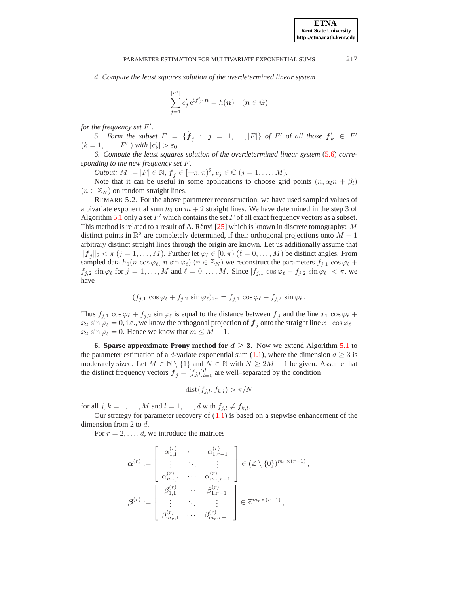*4. Compute the least squares solution of the overdetermined linear system*

$$
\sum_{j=1}^{|F'|} c'_j e^{i \mathbf{f}'_j \cdot \mathbf{n}} = h(\mathbf{n}) \quad (\mathbf{n} \in \mathbb{G})
$$

*for the frequency set* F ′ *.*

5. Form the subset  $\tilde{F} = \{\tilde{\bm{f}}_j : j = 1, ..., |\tilde{F}|\}$  of  $F'$  of all those  $\bm{f}'_k \in F'$  $(k = 1, ..., |F'|)$  *with*  $|c'_k| > \varepsilon_0$ .

*6. Compute the least squares solution of the overdetermined linear system* [\(5.6\)](#page-11-0) *corresponding to the new frequency set*  $\ddot{F}$ *.* 

*Output:*  $M := |\tilde{F}| \in \mathbb{N}, \tilde{\boldsymbol{f}}_j \in [-\pi, \pi)^2, \tilde{c}_j \in \mathbb{C} \ (j = 1, \dots, M).$ 

Note that it can be useful in some applications to choose grid points  $(n, \alpha_l n + \beta_l)$  $(n \in \mathbb{Z}_N)$  on random straight lines.

REMARK 5.2. For the above parameter reconstruction, we have used sampled values of a bivariate exponential sum  $h_0$  on  $m + 2$  straight lines. We have determined in the step 3 of Algorithm [5.1](#page-12-0) only a set  $F'$  which contains the set  $\tilde{F}$  of all exact frequency vectors as a subset. This method is related to a result of A. Rényi  $[25]$  $[25]$  which is known in discrete tomography: M distinct points in  $\mathbb{R}^2$  are completely determined, if their orthogonal projections onto  $M + 1$ arbitrary distinct straight lines through the origin are known. Let us additionally assume that  $||f_j||_2 < \pi$   $(j = 1, ..., M)$ . Further let  $\varphi_\ell \in [0, \pi)$   $(\ell = 0, ..., M)$  be distinct angles. From sampled data  $h_0(n \cos \varphi_\ell, n \sin \varphi_\ell)$  ( $n \in \mathbb{Z}_N$ ) we reconstruct the parameters  $f_{j,1} \cos \varphi_\ell +$  $f_{j,2}$  sin  $\varphi_\ell$  for  $j = 1, ..., M$  and  $\ell = 0, ..., M$ . Since  $|f_{j,1} \cos \varphi_\ell + f_{j,2} \sin \varphi_\ell| < \pi$ , we have

$$
(f_{j,1}\,\cos\varphi_\ell + f_{j,2}\,\sin\varphi_\ell)_{2\pi} = f_{j,1}\,\cos\varphi_\ell + f_{j,2}\,\sin\varphi_\ell.
$$

Thus  $f_{j,1} \cos \varphi_\ell + f_{j,2} \sin \varphi_\ell$  is equal to the distance between  $f_j$  and the line  $x_1 \cos \varphi_\ell +$  $x_2 \sin \varphi_\ell = 0$ , i.e., we know the orthogonal projection of  $f_i$  onto the straight line  $x_1 \cos \varphi_\ell$  $x_2 \sin \varphi_\ell = 0$ . Hence we know that  $m \leq M - 1$ .

<span id="page-13-0"></span>**6. Sparse approximate Prony method for**  $d \geq 3$ **. Now we extend Algorithm [5.1](#page-12-0) to** the parameter estimation of a d-variate exponential sum [\(1.1\)](#page-0-0), where the dimension  $d \geq 3$  is moderately sized. Let  $M \in \mathbb{N} \setminus \{1\}$  and  $N \in \mathbb{N}$  with  $N \geq 2M + 1$  be given. Assume that the distinct frequency vectors  $\boldsymbol{f}_j = [f_{j,l}]_{l=0}^d$  are well–separated by the condition

dist $(f_{j,l}, f_{k,l}) > \pi/N$ 

for all  $j, k = 1, \ldots, M$  and  $l = 1, \ldots, d$  with  $f_{j,l} \neq f_{k,l}$ .

Our strategy for parameter recovery of  $(1.1)$  is based on a stepwise enhancement of the dimension from 2 to d.

For  $r = 2, \ldots, d$ , we introduce the matrices

$$
\boldsymbol{\alpha}^{(r)} := \begin{bmatrix} \alpha_{1,1}^{(r)} & \cdots & \alpha_{1,r-1}^{(r)} \\ \vdots & \ddots & \vdots \\ \alpha_{m_r,1}^{(r)} & \cdots & \alpha_{m_r,r-1}^{(r)} \end{bmatrix} \in (\mathbb{Z} \setminus \{0\})^{m_r \times (r-1)},
$$
  

$$
\boldsymbol{\beta}^{(r)} := \begin{bmatrix} \beta_{1,1}^{(r)} & \cdots & \beta_{1,r-1}^{(r)} \\ \vdots & \ddots & \vdots \\ \beta_{m_r,1}^{(r)} & \cdots & \beta_{m_r,r-1}^{(r)} \end{bmatrix} \in \mathbb{Z}^{m_r \times (r-1)},
$$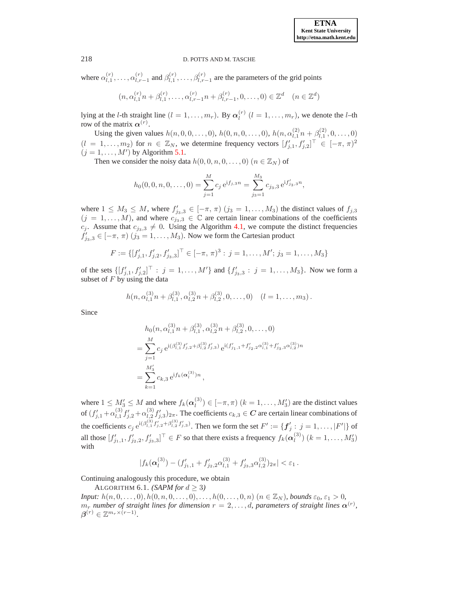where  $\alpha_{l,1}^{(r)}$  $\alpha_{l,1}^{(r)},\ldots,\alpha_{l,r}^{(r)}$  $\begin{bmatrix} (r) \\ l, r-1 \end{bmatrix}$  and  $\beta_{l,1}^{(r)}$  $\ell_{l,1}^{(r)}, \ldots, \beta_{l,r-1}^{(r)}$  are the parameters of the grid points

$$
(n, \alpha_{l,1}^{(r)} n + \beta_{l,1}^{(r)}, \dots, \alpha_{l,r-1}^{(r)} n + \beta_{l,r-1}^{(r)}, 0, \dots, 0) \in \mathbb{Z}^d \quad (n \in \mathbb{Z}^d)
$$

lying at the *l*-th straight line  $(l = 1, \ldots, m_r)$ . By  $\alpha_l^{(r)}$  $\binom{r}{l}$   $(l = 1, \ldots, m_r)$ , we denote the *l*-th row of the matrix  $\alpha^{(r)}$ .

Using the given values  $h(n, 0, 0, \dots, 0), h(0, n, 0, \dots, 0), h(n, \alpha_{1,1}^{(2)})$  $\frac{(2)}{l,1}n + \beta_{l,1}^{(2)}$  $\binom{2}{l,1}, 0, \ldots, 0$  $(l = 1, \ldots, m_2)$  for  $n \in \mathbb{Z}_N$ , we determine frequency vectors  $[f'_{j,1}, f'_{j,2}]^{\top} \in [-\pi, \pi)^2$  $(j = 1, \ldots, M')$  by Algorithm [5.1.](#page-12-0)

Then we consider the noisy data  $h(0, 0, n, 0, \ldots, 0)$   $(n \in \mathbb{Z}_N)$  of

$$
h_0(0,0,n,0,\ldots,0) = \sum_{j=1}^M c_j e^{i f_{j,3} n} = \sum_{j_3=1}^{M_3} c_{j_3,3} e^{i f'_{j_3,3} n},
$$

where  $1 \leq M_3 \leq M$ , where  $f'_{j_3,3} \in [-\pi, \pi)$   $(j_3 = 1, \ldots, M_3)$  the distinct values of  $f_{j,3}$  $(j = 1, \ldots, M)$ , and where  $c_{j_3,3} \in \mathbb{C}$  are certain linear combinations of the coefficients  $c_j$ . Assume that  $c_{j_3,3} \neq 0$ . Using the Algorithm [4.1,](#page-8-1) we compute the distinct frequencies  $f'_{j_3,3} \in [-\pi, \pi)$   $(j_3 = 1, \dots, M_3)$ . Now we form the Cartesian product

$$
F := \{ [f'_{j,1}, f'_{j,2}, f'_{j,3,3}]^\top \in [-\pi, \pi)^3 : j = 1, \dots, M'; j_3 = 1, \dots, M_3 \}
$$

of the sets  $\{[f'_{j,1}, f'_{j,2}] \mid j = 1, ..., M'\}$  and  $\{f'_{j_3,3} : j = 1, ..., M_3\}$ . Now we form a subset of  $F$  by using the data

$$
h(n, \alpha_{l,1}^{(3)} n + \beta_{l,1}^{(3)}, \alpha_{l,2}^{(3)} n + \beta_{l,2}^{(3)}, 0, \ldots, 0) \quad (l = 1, \ldots, m_3).
$$

Since

$$
h_0(n, \alpha_{l,1}^{(3)} n + \beta_{l,1}^{(3)}, \alpha_{l,2}^{(3)} n + \beta_{l,2}^{(3)}, 0, \dots, 0)
$$
  
= 
$$
\sum_{j=1}^M c_j e^{i(\beta_{l,1}^{(3)} f'_{j,2} + \beta_{l,2}^{(3)} f'_{j,3})} e^{i(f'_{j_1,1} + f'_{j_2,2}\alpha_{l,1}^{(3)} + f'_{j_3,3}\alpha_{l,2}^{(3)})n}
$$
  
= 
$$
\sum_{k=1}^{M'_3} c_{k,3} e^{i f_k(\alpha_l^{(3)})n},
$$

where  $1 \leq M'_3 \leq M$  and where  $f_k(\boldsymbol{\alpha}_l^{(3)})$  $\binom{S}{l} \in [-\pi, \pi]$   $(k = 1, \dots, M_3')$  are the distinct values of  $(f'_{j,1} + \alpha^{(3)}_{l,1})$  $\binom{3}{l,1} f'_{j,2} + \alpha^{(3)}_{l,2}$  $\int_{l,2}^{(5)} f'_{j,3} |_{2\pi}$ . The coefficients  $c_{k,3} \in \mathbb{C}$  are certain linear combinations of the coefficients  $c_j e^{i(\beta_{l,1}^{(3)}f'_{j,2}+\beta_{l,2}^{(3)}f'_{j,3})}$ . Then we form the set  $F' := \{f'_j : j = 1, \ldots, |F'|\}$  of all those  $[f'_{j_1,1}, f'_{j_2,2}, f'_{j_3,3}]^\top \in F$  so that there exists a frequency  $f_k(\alpha_i^{(3)})$  $\binom{S}{l}$   $(k = 1, \ldots, M_3')$ with

$$
|f_k(\boldsymbol{\alpha}_l^{(3)}) - (f'_{j_1,1} + f'_{j_2,2}\alpha_{l,1}^{(3)} + f'_{j_3,3}\alpha_{l,2}^{(3)})_{2\pi}| < \varepsilon_1.
$$

<span id="page-14-0"></span>Continuing analogously this procedure, we obtain

ALGORITHM 6.1. *(SAPM for*  $d \geq 3$ *)* 

*Input:*  $h(n, 0, \ldots, 0), h(0, n, 0, \ldots, 0), \ldots, h(0, \ldots, 0, n)$  ( $n \in \mathbb{Z}_N$ ), bounds  $\varepsilon_0, \varepsilon_1 > 0$ ,  $m_r$  *number of straight lines for dimension*  $r = 2, \ldots, d$ , parameters of straight lines  $\alpha^{(r)}$ ,  $\boldsymbol{\beta}^{(r)} \in \mathbb{Z}^{m_r \times (r-1)}$ .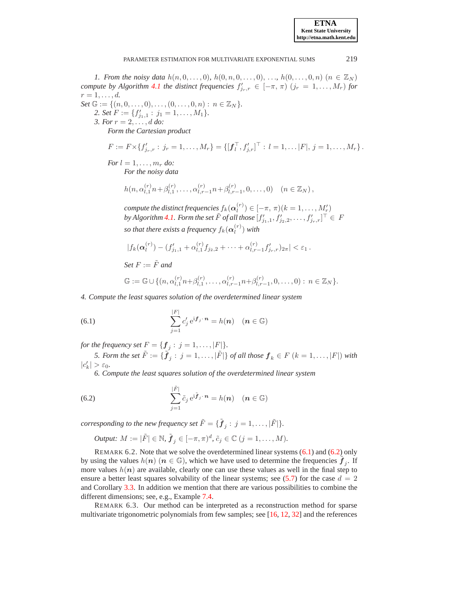**ETNA Kent State University http://etna.math.kent.edu**

### PARAMETER ESTIMATION FOR MULTIVARIATE EXPONENTIAL SUMS 219

*1. From the noisy data*  $h(n, 0, \ldots, 0)$ ,  $h(0, n, 0, \ldots, 0)$ , ...,  $h(0, \ldots, 0, n)$  ( $n \in \mathbb{Z}_N$ ) *compute by Algorithm [4.1](#page-8-1) the distinct frequencies*  $f'_{j_r,r} \in [-\pi, \pi)$   $(j_r = 1, \ldots, M_r)$  *for*  $r=1,\ldots,d.$ 

*Set*  $\mathbb{G} := \{(n, 0, \ldots, 0), \ldots, (0, \ldots, 0, n) : n \in \mathbb{Z}_N\}.$ 2. Set  $F := \{f'_{j_1,1} : j_1 = 1, \ldots, M_1\}.$ *3. For* r = 2, . . . , d *do:*

*Form the Cartesian product*

$$
F := F \times \{f'_{j_r,r} : j_r = 1,\ldots,M_r\} = \{[f_l^\top, f'_{j,r}]^\top : l = 1,\ldots|F|, j = 1,\ldots,M_r\}.
$$

*For*  $l = 1, \ldots, m_r$  *do: For the noisy data*

$$
h(n, \alpha_{l,1}^{(r)} n + \beta_{l,1}^{(r)}, \dots, \alpha_{l,r-1}^{(r)} n + \beta_{l,r-1}^{(r)}, 0, \dots, 0) \quad (n \in \mathbb{Z}_N),
$$

compute the distinct frequencies  $f_k({\boldsymbol{\alpha}}_l^{(r)})$  $\binom{n}{l} \in [-\pi, \pi)(k = 1, \ldots, M'_r)$ by Algorithm [4.1.](#page-8-1) Form the set  $\tilde{F}$  of all those  $[f'_{j_1,1}, f'_{j_2,2}, \ldots, f'_{j_r,r}]^{\top} \in F$ *so that there exists a frequency*  $f_k({\boldsymbol{\alpha}}_l^{(r)})$  $\binom{r}{l}$  with

$$
|f_k(\boldsymbol{\alpha}_l^{(r)}) - (f'_{j_1,1} + \alpha_{l,1}^{(r)}f_{j_2,2} + \cdots + \alpha_{l,r-1}^{(r)}f'_{j_r,r})_{2\pi}| < \varepsilon_1.
$$

*Set*  $F := \tilde{F}$  *and* 

<span id="page-15-2"></span><span id="page-15-1"></span>
$$
\mathbb{G} := \mathbb{G} \cup \{ (n, \alpha_{l,1}^{(r)} n + \beta_{l,1}^{(r)}, \dots, \alpha_{l,r-1}^{(r)} n + \beta_{l,r-1}^{(r)}, 0, \dots, 0) : n \in \mathbb{Z}_N \}.
$$

*4. Compute the least squares solution of the overdetermined linear system*

(6.1) 
$$
\sum_{j=1}^{|F|} c'_j e^{i\mathbf{f}_j \cdot \mathbf{n}} = h(\mathbf{n}) \quad (\mathbf{n} \in \mathbb{G})
$$

*for the frequency set*  $F = \{ \mathbf{f}_j : j = 1, \ldots, |F| \}.$ 

*5. Form the set*  $\tilde{F} := \{ \tilde{\bm{f}}_j : \ j = 1, \ldots, |\tilde{F}|\}$  *of all those*  $\bm{f}_k \in F$   $(k = 1, \ldots, |F|)$  *with*  $|c'_k| > \varepsilon_0.$ 

*6. Compute the least squares solution of the overdetermined linear system*

(6.2) 
$$
\sum_{j=1}^{|\tilde{F}|} \tilde{c}_j e^{i\tilde{f}_j \cdot \boldsymbol{n}} = h(\boldsymbol{n}) \quad (\boldsymbol{n} \in \mathbb{G})
$$

*corresponding to the new frequency set*  $\tilde{F} = {\{\tilde{\bm{f}}_j : j = 1, ..., |\tilde{F}|\}}.$ 

*Output*: 
$$
M := |\tilde{F}| \in \mathbb{N}
$$
,  $\tilde{f}_j \in [-\pi, \pi)^d$ ,  $\tilde{c}_j \in \mathbb{C}$   $(j = 1, ..., M)$ .

REMARK 6.2. Note that we solve the overdetermined linear systems [\(6.1\)](#page-15-1) and [\(6.2\)](#page-15-2) only by using the values  $h(n)$   $(n \in \mathbb{G})$ , which we have used to determine the frequencies  $\tilde{f}_j$ . If more values  $h(n)$  are available, clearly one can use these values as well in the final step to ensure a better least squares solvability of the linear systems; see [\(5.7\)](#page-12-1) for the case  $d = 2$ and Corollary [3.3.](#page-7-1) In addition we mention that there are various possibilities to combine the different dimensions; see, e.g., Example [7.4.](#page-19-6)

<span id="page-15-0"></span>REMARK 6.3. Our method can be interpreted as a reconstruction method for sparse multivariate trigonometric polynomials from few samples; see [\[16,](#page-20-5) [12,](#page-20-6) [32\]](#page-20-7) and the references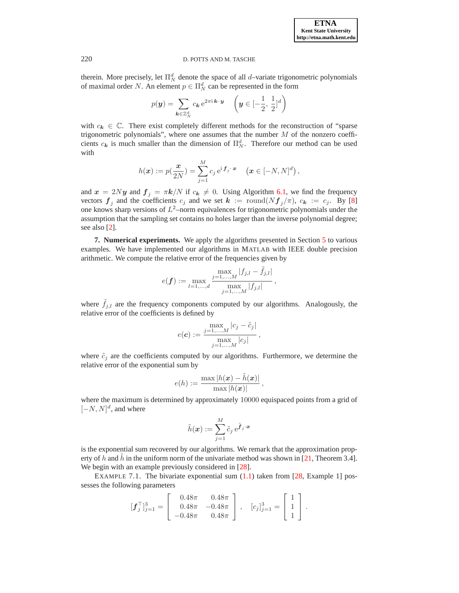therein. More precisely, let  $\Pi_N^d$  denote the space of all *d*–variate trigonometric polynomials of maximal order N. An element  $p \in \Pi_N^d$  can be represented in the form

$$
p(\mathbf{y}) = \sum_{\mathbf{k} \in \mathbb{Z}_N^d} c_{\mathbf{k}} e^{2\pi i \mathbf{k} \cdot \mathbf{y}} \quad \left(\mathbf{y} \in [-\frac{1}{2}, \frac{1}{2}]^d\right)
$$

with  $c_k \in \mathbb{C}$ . There exist completely different methods for the reconstruction of "sparse" trigonometric polynomials", where one assumes that the number  $M$  of the nonzero coefficients  $c_k$  is much smaller than the dimension of  $\Pi_N^d$ . Therefore our method can be used with

$$
h(\boldsymbol{x}) := p(\frac{\boldsymbol{x}}{2N}) = \sum_{j=1}^M c_j \,\mathrm{e}^{\mathrm{i}\, \boldsymbol{f}_j \cdot \boldsymbol{x}} \quad (\boldsymbol{x} \in [-N, N]^d),
$$

and  $x = 2Ny$  and  $f_j = \pi k/N$  if  $c_k \neq 0$ . Using Algorithm [6.1,](#page-14-0) we find the frequency vectors  $f_j$  and the coefficients  $c_j$  and we set  $k := \text{round}(Nf_j/\pi)$ ,  $c_k := c_j$ . By [\[8\]](#page-19-7) one knows sharp versions of  $L^2$ -norm equivalences for trigonometric polynomials under the assumption that the sampling set contains no holes larger than the inverse polynomial degree; see also [\[2\]](#page-19-8).

<span id="page-16-0"></span>**7. Numerical experiments.** We apply the algorithms presented in Section [5](#page-10-0) to various examples. We have implemented our algorithms in MATLAB with IEEE double precision arithmetic. We compute the relative error of the frequencies given by

$$
e(\boldsymbol{f}) := \max_{l=1,\dots,d} \frac{\max_{j=1,\dots,M} |f_{j,l} - \tilde{f}_{j,l}|}{\max_{j=1,\dots,M} |f_{j,l}|},
$$

where  $\tilde{f}_{j,l}$  are the frequency components computed by our algorithms. Analogously, the relative error of the coefficients is defined by

$$
e(\boldsymbol{c}) := \frac{\max\limits_{j=1,\ldots,M} |c_j - \tilde{c}_j|}{\max\limits_{j=1,\ldots,M} |c_j|},
$$

where  $\tilde{c}_j$  are the coefficients computed by our algorithms. Furthermore, we determine the relative error of the exponential sum by

$$
e(h) := \frac{\max |h(\boldsymbol{x}) - \tilde{h}(\boldsymbol{x})|}{\max |h(\boldsymbol{x})|},
$$

where the maximum is determined by approximately 10000 equispaced points from a grid of  $[-N, N]^d$ , and where

$$
\tilde{h}(\boldsymbol{x}) := \sum_{j=1}^M \tilde{c}_j\, \mathrm{e}^{\tilde{\boldsymbol{f}}_j \cdot \boldsymbol{x}}
$$

is the exponential sum recovered by our algorithms. We remark that the approximation prop-erty of h and h in the uniform norm of the univariate method was shown in [\[21,](#page-20-19) Theorem 3.4]. We begin with an example previously considered in [\[28\]](#page-20-23).

<span id="page-16-1"></span>EXAMPLE 7.1. The bivariate exponential sum  $(1.1)$  taken from  $[28,$  Example 1] possesses the following parameters

$$
[\boldsymbol{f}_j^\top]_{j=1}^3 = \begin{bmatrix} 0.48\pi & 0.48\pi \\ 0.48\pi & -0.48\pi \\ -0.48\pi & 0.48\pi \end{bmatrix}, \quad [c_j]_{j=1}^3 = \begin{bmatrix} 1 \\ 1 \\ 1 \end{bmatrix}.
$$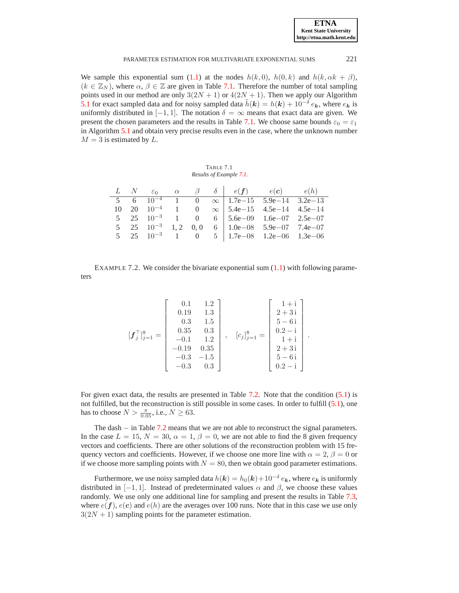| <b>ETNA</b>                  |
|------------------------------|
| <b>Kent State University</b> |
| http://etna.math.kent.edu    |

We sample this exponential sum [\(1.1\)](#page-0-0) at the nodes  $h(k, 0)$ ,  $h(0, k)$  and  $h(k, \alpha k + \beta)$ ,  $(k \in \mathbb{Z}_N)$ , where  $\alpha, \beta \in \mathbb{Z}$  are given in Table [7.1.](#page-17-0) Therefore the number of total sampling points used in our method are only  $3(2N + 1)$  or  $4(2N + 1)$ . Then we apply our Algorithm [5.1](#page-12-0) for exact sampled data and for noisy sampled data  $\tilde{h}(\mathbf{k}) = h(\mathbf{k}) + 10^{-\delta} e_{\mathbf{k}}$ , where  $e_{\mathbf{k}}$  is uniformly distributed in  $[-1, 1]$ . The notation  $\delta = \infty$  means that exact data are given. We present the chosen parameters and the results in Table [7.1.](#page-17-0) We choose same bounds  $\varepsilon_0 = \varepsilon_1$ in Algorithm [5.1](#page-12-0) and obtain very precise results even in the case, where the unknown number  $M = 3$  is estimated by L.

TABLE 7.1 *Results of Example [7.1.](#page-16-1)*

<span id="page-17-0"></span>

|  |  |  | L N $\varepsilon_0$ $\alpha$ $\beta$ $\delta$ $e(f)$ $e(c)$ $e(h)$ |  |
|--|--|--|--------------------------------------------------------------------|--|
|  |  |  | 5 6 $10^{-4}$ 1 0 $\infty$   1.7e-15 5.9e-14 3.2e-13               |  |
|  |  |  | 10 20 $10^{-4}$ 1 0 $\infty$ 5.4e-15 4.5e-14 4.5e-14               |  |
|  |  |  | 5 25 $10^{-3}$ 1 0 6   5.6e - 09 1.6e - 07 2.5e - 07               |  |
|  |  |  | 5 25 $10^{-3}$ 1, 2 0, 0 6 $1.0e-08$ 5.9e-07 7.4e-07               |  |
|  |  |  | 5 25 $10^{-3}$ 1 0 5   1.7e-08 1.2e-06 1.3e-06                     |  |

<span id="page-17-1"></span>EXAMPLE 7.2. We consider the bivariate exponential sum  $(1.1)$  with following parameters

$$
\begin{aligned}\n[\mathbf{f}_{j}^{\top}]_{j=1}^{8} = \begin{bmatrix}\n0.1 & 1.2 \\
0.19 & 1.3 \\
0.3 & 1.5 \\
0.35 & 0.3 \\
-0.1 & 1.2 \\
-0.19 & 0.35 \\
-0.3 & -1.5 \\
-0.3 & 0.3\n\end{bmatrix}, \quad [c_{j}]_{j=1}^{8} = \begin{bmatrix}\n1+i \\
2+3i \\
5-6i \\
0.2-i \\
1+i \\
2+3i \\
5-6i \\
5-6i \\
0.2-i\n\end{bmatrix}.\n\end{aligned}
$$

For given exact data, the results are presented in Table [7.2.](#page-18-0) Note that the condition [\(5.1\)](#page-10-2) is not fulfilled, but the reconstruction is still possible in some cases. In order to fulfill [\(5.1\)](#page-10-2), one has to choose  $N > \frac{\pi}{0.05}$ , i.e.,  $N \ge 63$ .

The dash − in Table [7.2](#page-18-0) means that we are not able to reconstruct the signal parameters. In the case  $L = 15$ ,  $N = 30$ ,  $\alpha = 1$ ,  $\beta = 0$ , we are not able to find the 8 given frequency vectors and coefficients. There are other solutions of the reconstruction problem with 15 frequency vectors and coefficients. However, if we choose one more line with  $\alpha = 2$ ,  $\beta = 0$  or if we choose more sampling points with  $N = 80$ , then we obtain good parameter estimations.

Furthermore, we use noisy sampled data  $h(\mathbf{k}) = h_0(\mathbf{k}) + 10^{-\delta} e_{\mathbf{k}}$ , where  $e_{\mathbf{k}}$  is uniformly distributed in  $[-1, 1]$ . Instead of predeterminated values  $\alpha$  and  $\beta$ , we choose these values randomly. We use only one additional line for sampling and present the results in Table [7.3,](#page-18-1) where  $e(f)$ ,  $e(c)$  and  $e(h)$  are the averages over 100 runs. Note that in this case we use only  $3(2N + 1)$  sampling points for the parameter estimation.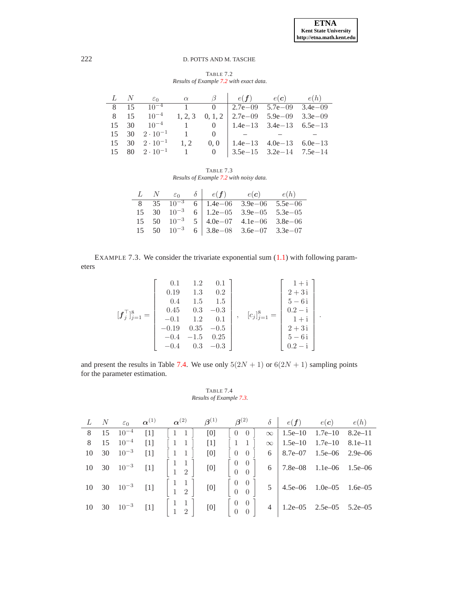TABLE 7.2 *Results of Example [7.2](#page-17-1) with exact data.*

<span id="page-18-0"></span>

|  |                                                |  | L N $\varepsilon_0$ $\alpha$ $\beta$   $e(f)$ $e(c)$ $e(h)$ |  |
|--|------------------------------------------------|--|-------------------------------------------------------------|--|
|  | 8 15 10 <sup>-4</sup>                          |  | 1 0 2.7e - 09 5.7e - 09 3.4e - 09                           |  |
|  | 8 15 $10^{-4}$                                 |  | 1, 2, 3 0, 1, 2   2.7e - 09 $5.9e - 09$ 3.3e - 09           |  |
|  |                                                |  | 15 30 $10^{-4}$ 1 0   1.4e-13 3.4e-13 6.5e-13               |  |
|  | $15 \quad 30 \quad 2 \cdot 10^{-1}$            |  | $1 \qquad 0 \qquad -$                                       |  |
|  | $15 \quad 30 \quad 2 \cdot 10^{-1} \quad 1, 2$ |  | $0, 0$   1.4e-13 4.0e-13 6.0e-13                            |  |
|  |                                                |  | 15 80 $2 \cdot 10^{-1}$ 1 0   3.5e-15 3.2e-14 7.5e-14       |  |

TABLE 7.3 *Results of Example [7.2](#page-17-1) with noisy data.*

<span id="page-18-1"></span>

|  |  | L N $\varepsilon_0$ $\delta$ $e(f)$ $e(c)$ $e(h)$                                      |  |
|--|--|----------------------------------------------------------------------------------------|--|
|  |  | 8 35 $10^{-3}$ 6   1.4e - 06 3.9e - 06 5.5e - 06                                       |  |
|  |  | 15 30 $10^{-3}$ 6 1.2e-05 3.9e-05 5.3e-05<br>15 50 $10^{-3}$ 5 4.0e-07 4.1e-06 3.8e-06 |  |
|  |  |                                                                                        |  |
|  |  | 15 50 $10^{-3}$ 6 3.8e - 08 3.6e - 07 3.3e - 07                                        |  |

<span id="page-18-3"></span>EXAMPLE 7.3. We consider the trivariate exponential sum [\(1.1\)](#page-0-0) with following parameters

$$
\begin{bmatrix} \boldsymbol{f}_j^\top \end{bmatrix}_{j=1}^8 = \begin{bmatrix} 0.1 & 1.2 & 0.1 \\ 0.19 & 1.3 & 0.2 \\ 0.4 & 1.5 & 1.5 \\ 0.45 & 0.3 & -0.3 \\ -0.1 & 1.2 & 0.1 \\ -0.19 & 0.35 & -0.5 \\ -0.4 & -1.5 & 0.25 \\ -0.4 & 0.3 & -0.3 \end{bmatrix}, \quad [c_j]_{j=1}^8 = \begin{bmatrix} 1+i \\ 2+3i \\ 5-6i \\ 1+i \\ 2+3i \\ 5-6i \\ 5-6i \\ 0.2-i \end{bmatrix}.
$$

and present the results in Table [7.4.](#page-18-2) We use only  $5(2N + 1)$  or  $6(2N + 1)$  sampling points for the parameter estimation.

# <span id="page-18-2"></span>TABLE 7.4 *Results of Example [7.3.](#page-18-3)*

|  |                                       |       | L N $\varepsilon_0$ $\alpha^{(1)}$ $\alpha^{(2)}$ $\beta^{(1)}$ $\beta^{(2)}$ $\delta$                                |     |                                                             |                                            | $e(f)$ $e(c)$ $e(h)$ |  |
|--|---------------------------------------|-------|-----------------------------------------------------------------------------------------------------------------------|-----|-------------------------------------------------------------|--------------------------------------------|----------------------|--|
|  | 8 15 $10^{-4}$                        | $[1]$ | $\begin{bmatrix} 1 & 1 \end{bmatrix} \quad \begin{bmatrix} 0 \end{bmatrix} \quad \begin{bmatrix} 0 & 0 \end{bmatrix}$ |     |                                                             | $\infty$   1.5e–10 1.7e–10 8.2e–11         |                      |  |
|  | 8 15 $10^{-4}$ [1]                    |       | $\begin{bmatrix} 1 & 1 \end{bmatrix}$ [1]                                                                             |     | $\lceil 1 \rceil$                                           | $\infty$   1.5e–10 1.7e–10 8.1e–11         |                      |  |
|  | $10 \t 30 \t 10^{-3}$                 | [1]   | $\left[\begin{array}{cc}1 & 1\end{array}\right]$                                                                      | [0] |                                                             | $6 \mid 8.7e-07 \mid 1.5e-06 \mid 2.9e-06$ |                      |  |
|  | $10 \t 30 \t 10^{-3} \t [1]$          |       | $\begin{pmatrix} 1 & 1 \\ 1 & 2 \end{pmatrix}$ [0]                                                                    |     |                                                             | $6$   7.8e–08 1.1e–06 1.5e–06              |                      |  |
|  |                                       |       | 10 30 $10^{-3}$ [1] $\begin{bmatrix} 1 & 1 \\ 1 & 2 \end{bmatrix}$ [0]                                                |     |                                                             | $5 \mid 4.5e-06 \mid 1.0e-05 \mid 1.6e-05$ |                      |  |
|  | $10 \quad 30 \quad 10^{-3} \quad [1]$ |       | $\begin{pmatrix} 1 & 1 \\ 1 & 2 \end{pmatrix}$ [0]                                                                    |     | $\left[\begin{array}{cc} 0 & 0 \\ 0 & 0 \end{array}\right]$ | 4   $1.2e-05$ $2.5e-05$ $5.2e-05$          |                      |  |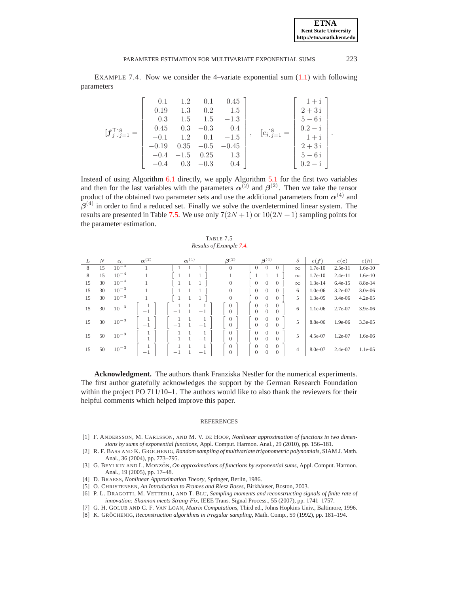**ETNA Kent State University http://etna.math.kent.edu**

<span id="page-19-6"></span>EXAMPLE 7.4. Now we consider the 4–variate exponential sum [\(1.1\)](#page-0-0) with following parameters

$$
[\mathbf{f}_{j}^{\top}]_{j=1}^{8} = \begin{bmatrix} 0.1 & 1.2 & 0.1 & 0.45 \\ 0.19 & 1.3 & 0.2 & 1.5 \\ 0.3 & 1.5 & 1.5 & -1.3 \\ 0.45 & 0.3 & -0.3 & 0.4 \\ -0.1 & 1.2 & 0.1 & -1.5 \\ -0.19 & 0.35 & -0.5 & -0.45 \\ -0.4 & -1.5 & 0.25 & 1.3 \\ -0.4 & 0.3 & -0.3 & 0.4 \end{bmatrix}, \begin{bmatrix} e_{j} \end{bmatrix}_{j=1}^{8} = \begin{bmatrix} 1+i \\ 2+3i \\ 5-6i \\ 0.2-i \\ 2+3i \\ 5-6i \\ 5-6i \\ 0.2-i \end{bmatrix}.
$$

Instead of using Algorithm [6.1](#page-14-0) directly, we apply Algorithm [5.1](#page-12-0) for the first two variables and then for the last variables with the parameters  $\alpha^{(2)}$  and  $\beta^{(2)}$ . Then we take the tensor product of the obtained two parameter sets and use the additional parameters from  $\alpha^{(4)}$  and  $\beta^{(4)}$  in order to find a reduced set. Finally we solve the overdetermined linear system. The results are presented in Table [7.5.](#page-19-9) We use only  $7(2N+1)$  or  $10(2N+1)$  sampling points for the parameter estimation.

<span id="page-19-9"></span>TABLE 7.5 *Results of Example [7.4.](#page-19-6)*

| L  | N  | $\varepsilon_0$ | $\alpha^{(2)}$ | $\alpha^{(4)}$       | $\beta^{(2)}$                    | $\beta^{(4)}$                                                                            | $\delta$ | e(f)      | $e(\boldsymbol{c})$ | e(h)       |
|----|----|-----------------|----------------|----------------------|----------------------------------|------------------------------------------------------------------------------------------|----------|-----------|---------------------|------------|
| 8  | 15 | $10^{-4}$       |                |                      | $\theta$                         | 0<br>$\theta$<br>U                                                                       | $\infty$ | $1.7e-10$ | $2.5e-11$           | $1.6e-10$  |
| 8  | 15 | $10^{-4}$       |                |                      |                                  |                                                                                          | $\infty$ | 1.7e-10   | $2.4e-11$           | $1.6e-10$  |
| 15 | 30 | $10^{-4}$       |                |                      | 0                                | $\overline{0}$<br>$\theta$<br>0                                                          | $\infty$ | $1.3e-14$ | $6.4e-15$           | 8.8e-14    |
| 15 | 30 | $10^{-3}$       |                |                      | $\mathbf{0}$                     | $\boldsymbol{0}$<br>$\theta$<br>$\theta$                                                 | 6        | $1.0e-06$ | $3.2e-07$           | $3.0e-06$  |
| 15 | 30 | $10^{-3}$       |                |                      | $\mathbf{0}$                     | $\overline{0}$<br>$\theta$<br>0                                                          | 5        | 1.3e-05   | $3.4e-06$           | $4.2e-05$  |
| 15 | 30 | $10^{-3}$       | $^{-1}$        | 1<br>$-1$<br>$^{-1}$ | $\overline{0}$<br>$\overline{0}$ | $\overline{0}$<br>$\Omega$<br>$\theta$<br>$\overline{0}$<br>$\theta$<br>$\overline{0}$   | 6        | $1.1e-06$ | 2.7e-07             | $3.9e-06$  |
| 15 | 30 | $10^{-3}$       | $^{-1}$        | 1<br>$-1$<br>$^{-1}$ | $\overline{0}$<br>$\overline{0}$ | $\overline{0}$<br>$\Omega$<br>$\theta$<br>$\overline{0}$<br>$\theta$<br>$\theta$         | 5        | 8.8e-06   | 1.9e-06             | $3.3e-0.5$ |
| 15 | 50 | $10^{-3}$       | $-1$           | $-1$<br>$-1$         | $\overline{0}$<br>$\overline{0}$ | $\overline{0}$<br>$\theta$<br>$\theta$<br>$\overline{0}$<br>$\theta$<br>$\theta$         | 5        | 4.5e-07   | $1.2e-07$           | 1.6e-06    |
| 15 | 50 | $10^{-3}$       | $^{-1}$        | $^{-1}$<br>$-1$      | $\overline{0}$<br>$\mathbf{0}$   | $\overline{0}$<br>$\theta$<br>$\theta$<br>$\boldsymbol{0}$<br>$\overline{0}$<br>$\theta$ | 4        | 8.0e-07   | $2.4e-07$           | $1.1e-0.5$ |

**Acknowledgment.** The authors thank Franziska Nestler for the numerical experiments. The first author gratefully acknowledges the support by the German Research Foundation within the project PO 711/10–1. The authors would like to also thank the reviewers for their helpful comments which helped improve this paper.

#### REFERENCES

- <span id="page-19-8"></span><span id="page-19-2"></span>[1] F. ANDERSSON, M. CARLSSON, AND M. V. DE HOOP, *Nonlinear approximation of functions in two dimensions by sums of exponential functions*, Appl. Comput. Harmon. Anal., 29 (2010), pp. 156–181.
- [2] R. F. BASS AND K. GRÖCHENIG, *Random sampling of multivariate trigonometric polynomials*, SIAM J. Math. Anal., 36 (2004), pp. 773–795.
- <span id="page-19-1"></span>[3] G. BEYLKIN AND L. MONZÓN, *On approximations of functions by exponential sums*, Appl. Comput. Harmon. Anal., 19 (2005), pp. 17–48.
- <span id="page-19-5"></span><span id="page-19-4"></span>[4] D. BRAESS, *Nonlinear Approximation Theory*, Springer, Berlin, 1986.
- <span id="page-19-0"></span>[5] O. CHRISTENSEN, *An Introduction to Frames and Riesz Bases*, Birkhäuser, Boston, 2003.
- [6] P. L. DRAGOTTI, M. VETTERLI, AND T. BLU, *Sampling moments and reconstructing signals of finite rate of innovation: Shannon meets Strang-Fix*, IEEE Trans. Signal Process., 55 (2007), pp. 1741–1757.
- <span id="page-19-3"></span>[7] G. H. GOLUB AND C. F. VAN LOAN, *Matrix Computations*, Third ed., Johns Hopkins Univ., Baltimore, 1996.
- <span id="page-19-7"></span>[8] K. GRÖCHENIG, *Reconstruction algorithms in irregular sampling*, Math. Comp., 59 (1992), pp. 181-194.